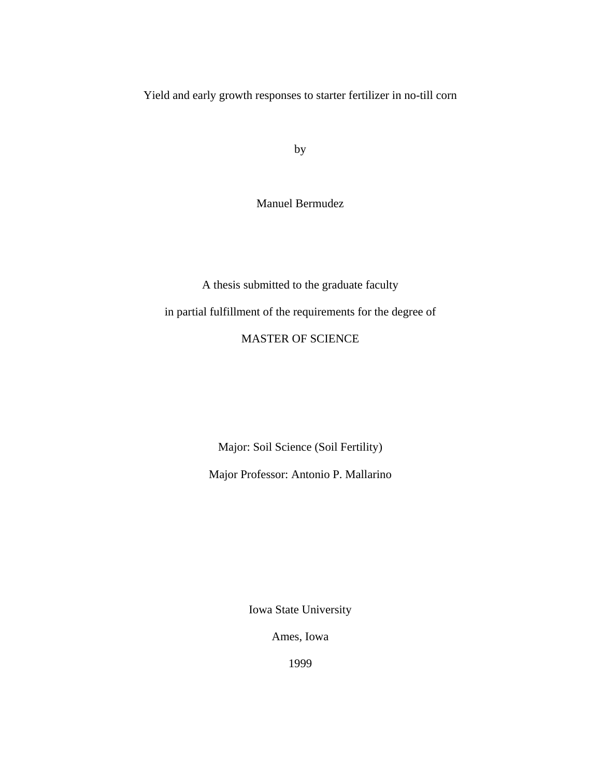Yield and early growth responses to starter fertilizer in no-till corn

by

Manuel Bermudez

A thesis submitted to the graduate faculty in partial fulfillment of the requirements for the degree of MASTER OF SCIENCE

Major: Soil Science (Soil Fertility)

Major Professor: Antonio P. Mallarino

Iowa State University

Ames, Iowa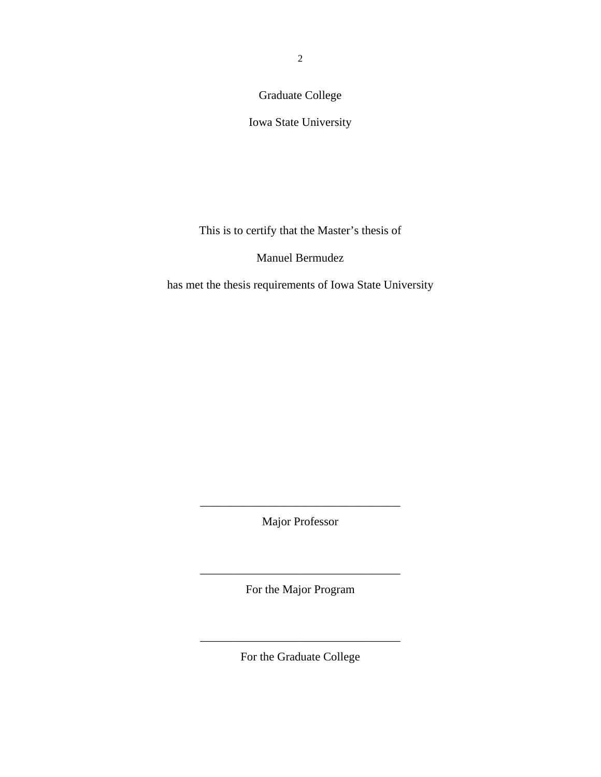Graduate College

Iowa State University

This is to certify that the Master's thesis of

Manuel Bermudez

has met the thesis requirements of Iowa State University

Major Professor

\_\_\_\_\_\_\_\_\_\_\_\_\_\_\_\_\_\_\_\_\_\_\_\_\_\_\_\_\_\_\_\_\_\_

For the Major Program

\_\_\_\_\_\_\_\_\_\_\_\_\_\_\_\_\_\_\_\_\_\_\_\_\_\_\_\_\_\_\_\_\_\_

For the Graduate College

\_\_\_\_\_\_\_\_\_\_\_\_\_\_\_\_\_\_\_\_\_\_\_\_\_\_\_\_\_\_\_\_\_\_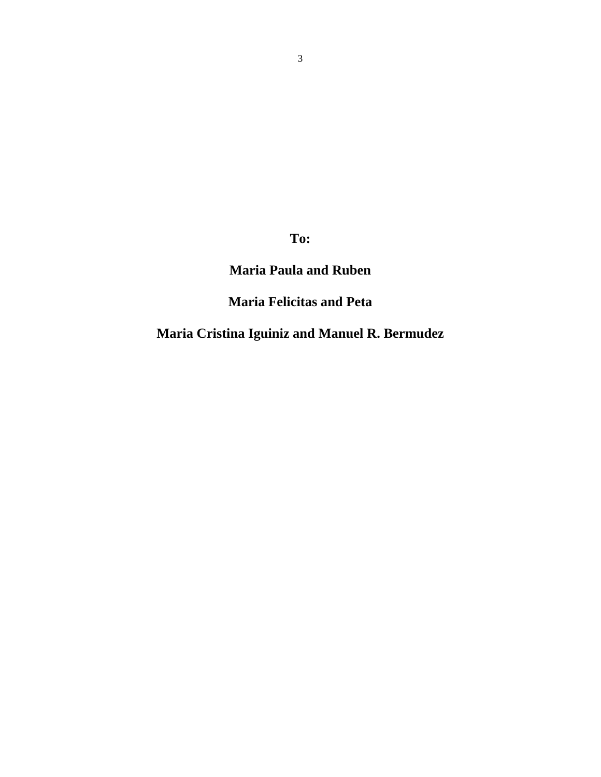**To:** 

## **Maria Paula and Ruben**

**Maria Felicitas and Peta** 

**Maria Cristina Iguiniz and Manuel R. Bermudez**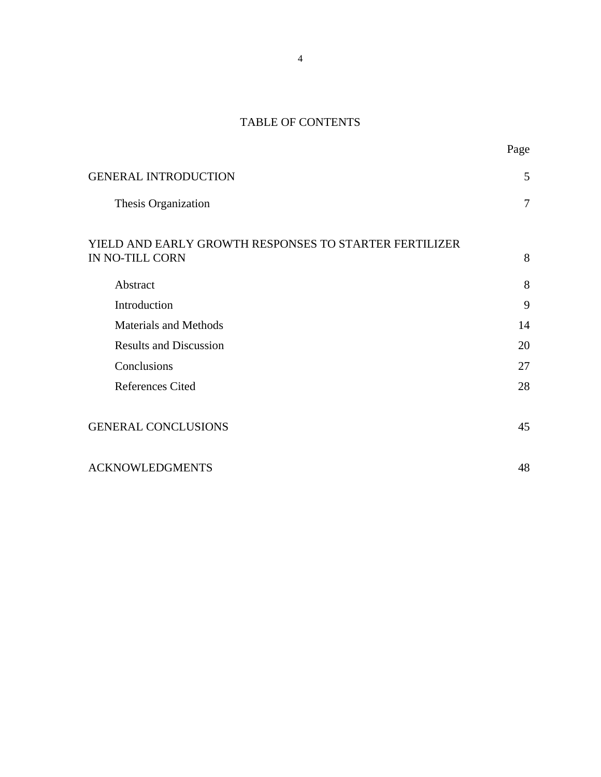# TABLE OF CONTENTS

Page

| <b>GENERAL INTRODUCTION</b>                                               | 5              |
|---------------------------------------------------------------------------|----------------|
| Thesis Organization                                                       | $\overline{7}$ |
| YIELD AND EARLY GROWTH RESPONSES TO STARTER FERTILIZER<br>IN NO-TILL CORN | 8              |
| Abstract                                                                  | 8              |
| Introduction                                                              | 9              |
| <b>Materials and Methods</b>                                              | 14             |
| <b>Results and Discussion</b>                                             | 20             |
| Conclusions                                                               | 27             |
| <b>References Cited</b>                                                   | 28             |
| <b>GENERAL CONCLUSIONS</b>                                                | 45             |
| <b>ACKNOWLEDGMENTS</b>                                                    | 48             |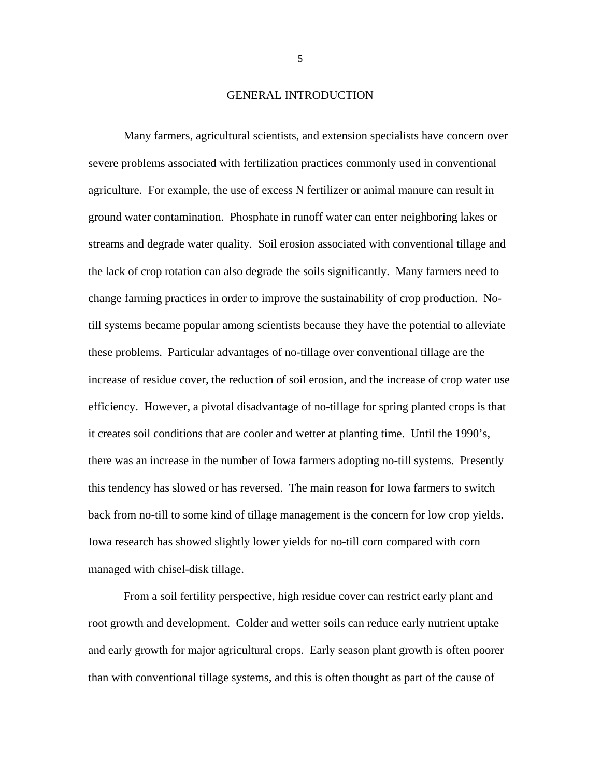#### GENERAL INTRODUCTION

Many farmers, agricultural scientists, and extension specialists have concern over severe problems associated with fertilization practices commonly used in conventional agriculture. For example, the use of excess N fertilizer or animal manure can result in ground water contamination. Phosphate in runoff water can enter neighboring lakes or streams and degrade water quality. Soil erosion associated with conventional tillage and the lack of crop rotation can also degrade the soils significantly. Many farmers need to change farming practices in order to improve the sustainability of crop production. Notill systems became popular among scientists because they have the potential to alleviate these problems. Particular advantages of no-tillage over conventional tillage are the increase of residue cover, the reduction of soil erosion, and the increase of crop water use efficiency. However, a pivotal disadvantage of no-tillage for spring planted crops is that it creates soil conditions that are cooler and wetter at planting time. Until the 1990's, there was an increase in the number of Iowa farmers adopting no-till systems. Presently this tendency has slowed or has reversed. The main reason for Iowa farmers to switch back from no-till to some kind of tillage management is the concern for low crop yields. Iowa research has showed slightly lower yields for no-till corn compared with corn managed with chisel-disk tillage.

From a soil fertility perspective, high residue cover can restrict early plant and root growth and development. Colder and wetter soils can reduce early nutrient uptake and early growth for major agricultural crops. Early season plant growth is often poorer than with conventional tillage systems, and this is often thought as part of the cause of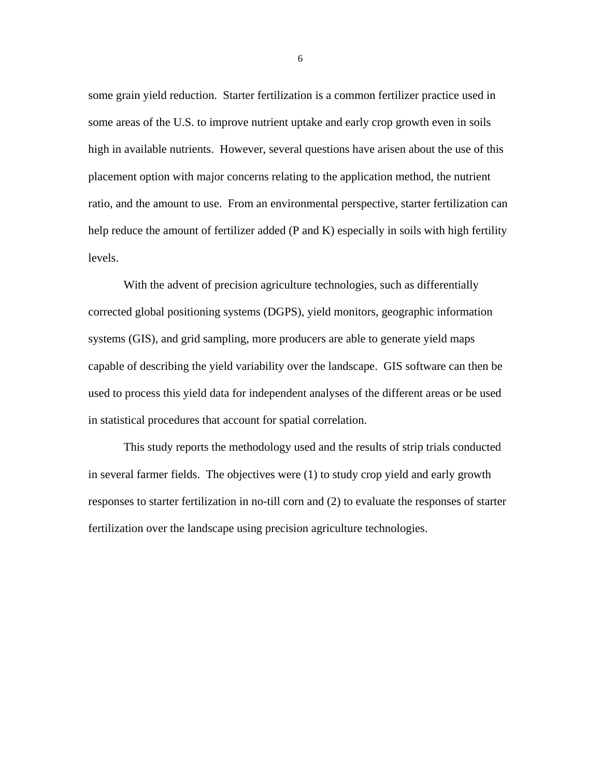some grain yield reduction. Starter fertilization is a common fertilizer practice used in some areas of the U.S. to improve nutrient uptake and early crop growth even in soils high in available nutrients. However, several questions have arisen about the use of this placement option with major concerns relating to the application method, the nutrient ratio, and the amount to use. From an environmental perspective, starter fertilization can help reduce the amount of fertilizer added (P and K) especially in soils with high fertility levels.

With the advent of precision agriculture technologies, such as differentially corrected global positioning systems (DGPS), yield monitors, geographic information systems (GIS), and grid sampling, more producers are able to generate yield maps capable of describing the yield variability over the landscape. GIS software can then be used to process this yield data for independent analyses of the different areas or be used in statistical procedures that account for spatial correlation.

This study reports the methodology used and the results of strip trials conducted in several farmer fields. The objectives were (1) to study crop yield and early growth responses to starter fertilization in no-till corn and (2) to evaluate the responses of starter fertilization over the landscape using precision agriculture technologies.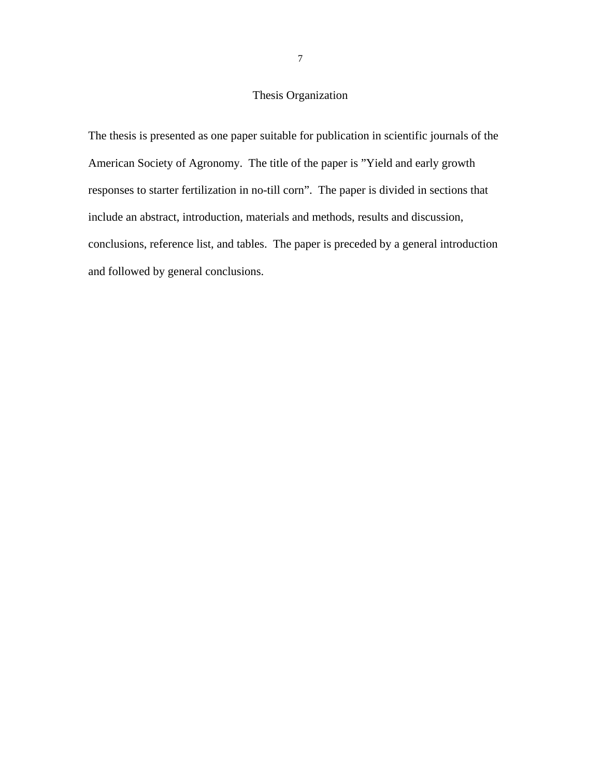## Thesis Organization

The thesis is presented as one paper suitable for publication in scientific journals of the American Society of Agronomy. The title of the paper is "Yield and early growth responses to starter fertilization in no-till corn". The paper is divided in sections that include an abstract, introduction, materials and methods, results and discussion, conclusions, reference list, and tables. The paper is preceded by a general introduction and followed by general conclusions.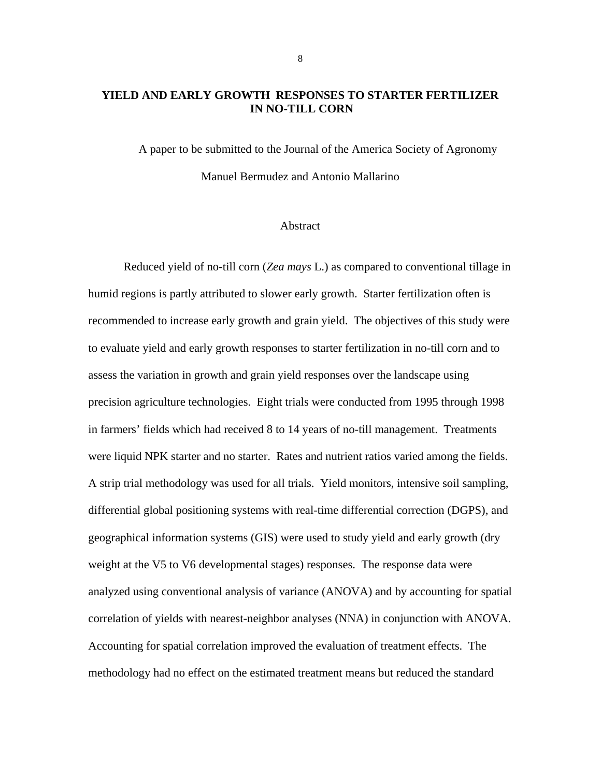## **YIELD AND EARLY GROWTH RESPONSES TO STARTER FERTILIZER IN NO-TILL CORN**

A paper to be submitted to the Journal of the America Society of Agronomy Manuel Bermudez and Antonio Mallarino

#### Abstract

Reduced yield of no-till corn (*Zea mays* L.) as compared to conventional tillage in humid regions is partly attributed to slower early growth. Starter fertilization often is recommended to increase early growth and grain yield. The objectives of this study were to evaluate yield and early growth responses to starter fertilization in no-till corn and to assess the variation in growth and grain yield responses over the landscape using precision agriculture technologies. Eight trials were conducted from 1995 through 1998 in farmers' fields which had received 8 to 14 years of no-till management. Treatments were liquid NPK starter and no starter. Rates and nutrient ratios varied among the fields. A strip trial methodology was used for all trials. Yield monitors, intensive soil sampling, differential global positioning systems with real-time differential correction (DGPS), and geographical information systems (GIS) were used to study yield and early growth (dry weight at the V5 to V6 developmental stages) responses. The response data were analyzed using conventional analysis of variance (ANOVA) and by accounting for spatial correlation of yields with nearest-neighbor analyses (NNA) in conjunction with ANOVA. Accounting for spatial correlation improved the evaluation of treatment effects. The methodology had no effect on the estimated treatment means but reduced the standard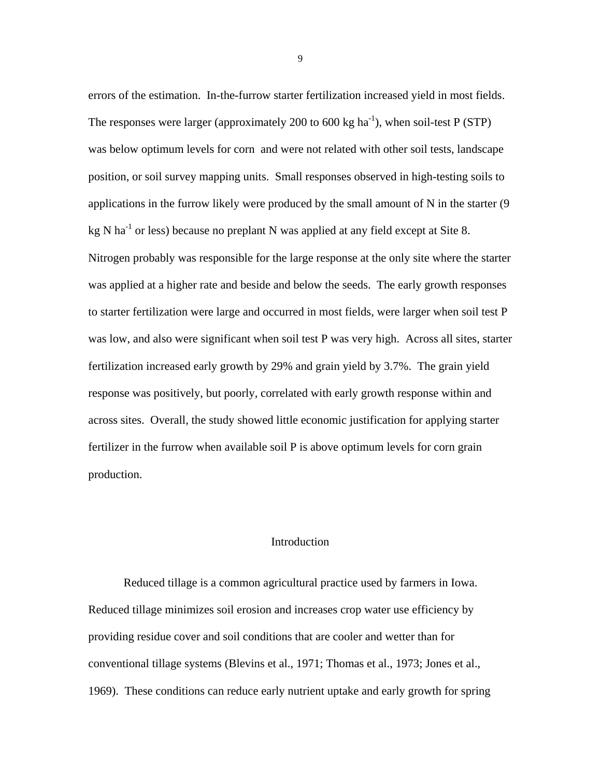errors of the estimation. In-the-furrow starter fertilization increased yield in most fields. The responses were larger (approximately 200 to 600 kg ha<sup>-1</sup>), when soil-test P (STP) was below optimum levels for corn and were not related with other soil tests, landscape position, or soil survey mapping units. Small responses observed in high-testing soils to applications in the furrow likely were produced by the small amount of N in the starter (9 kg N ha<sup>-1</sup> or less) because no preplant N was applied at any field except at Site 8. Nitrogen probably was responsible for the large response at the only site where the starter was applied at a higher rate and beside and below the seeds. The early growth responses to starter fertilization were large and occurred in most fields, were larger when soil test P was low, and also were significant when soil test P was very high. Across all sites, starter fertilization increased early growth by 29% and grain yield by 3.7%. The grain yield response was positively, but poorly, correlated with early growth response within and across sites. Overall, the study showed little economic justification for applying starter fertilizer in the furrow when available soil P is above optimum levels for corn grain production.

## Introduction

 Reduced tillage is a common agricultural practice used by farmers in Iowa. Reduced tillage minimizes soil erosion and increases crop water use efficiency by providing residue cover and soil conditions that are cooler and wetter than for conventional tillage systems (Blevins et al., 1971; Thomas et al., 1973; Jones et al., 1969). These conditions can reduce early nutrient uptake and early growth for spring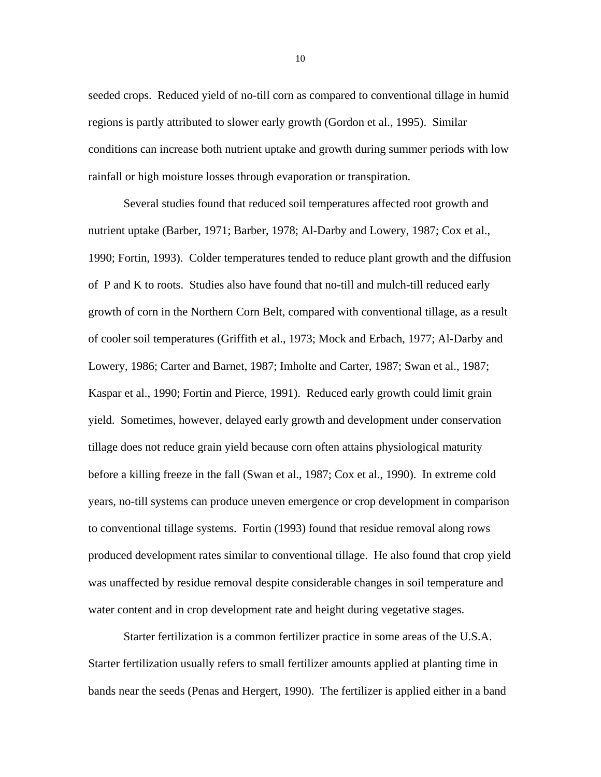seeded crops. Reduced yield of no-till corn as compared to conventional tillage in humid regions is partly attributed to slower early growth (Gordon et al., 1995). Similar conditions can increase both nutrient uptake and growth during summer periods with low rainfall or high moisture losses through evaporation or transpiration.

Several studies found that reduced soil temperatures affected root growth and nutrient uptake (Barber, 1971; Barber, 1978; Al-Darby and Lowery, 1987; Cox et al., 1990; Fortin, 1993). Colder temperatures tended to reduce plant growth and the diffusion of P and K to roots. Studies also have found that no-till and mulch-till reduced early growth of corn in the Northern Corn Belt, compared with conventional tillage, as a result of cooler soil temperatures (Griffith et al., 1973; Mock and Erbach, 1977; Al-Darby and Lowery, 1986; Carter and Barnet, 1987; Imholte and Carter, 1987; Swan et al., 1987; Kaspar et al., 1990; Fortin and Pierce, 1991). Reduced early growth could limit grain yield. Sometimes, however, delayed early growth and development under conservation tillage does not reduce grain yield because corn often attains physiological maturity before a killing freeze in the fall (Swan et al., 1987; Cox et al., 1990). In extreme cold years, no-till systems can produce uneven emergence or crop development in comparison to conventional tillage systems. Fortin (1993) found that residue removal along rows produced development rates similar to conventional tillage. He also found that crop yield was unaffected by residue removal despite considerable changes in soil temperature and water content and in crop development rate and height during vegetative stages.

Starter fertilization is a common fertilizer practice in some areas of the U.S.A. Starter fertilization usually refers to small fertilizer amounts applied at planting time in bands near the seeds (Penas and Hergert, 1990). The fertilizer is applied either in a band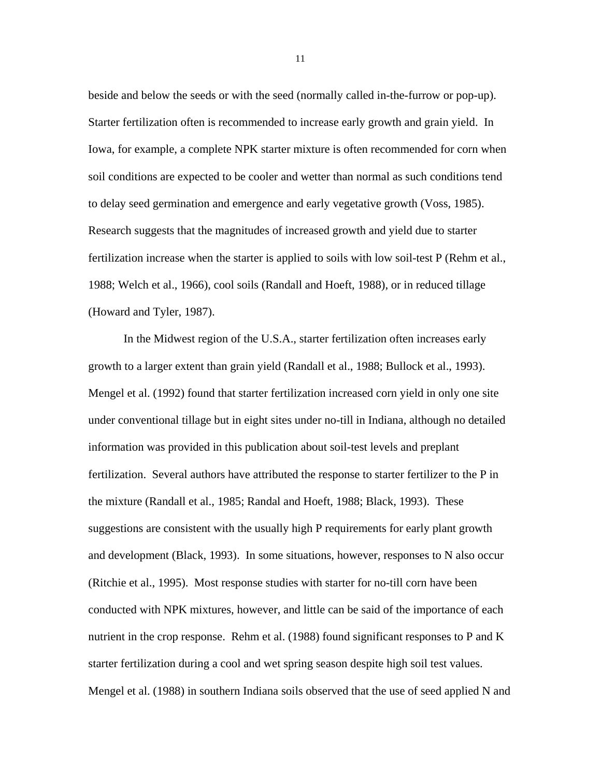beside and below the seeds or with the seed (normally called in-the-furrow or pop-up). Starter fertilization often is recommended to increase early growth and grain yield. In Iowa, for example, a complete NPK starter mixture is often recommended for corn when soil conditions are expected to be cooler and wetter than normal as such conditions tend to delay seed germination and emergence and early vegetative growth (Voss, 1985). Research suggests that the magnitudes of increased growth and yield due to starter fertilization increase when the starter is applied to soils with low soil-test P (Rehm et al., 1988; Welch et al., 1966), cool soils (Randall and Hoeft, 1988), or in reduced tillage (Howard and Tyler, 1987).

In the Midwest region of the U.S.A., starter fertilization often increases early growth to a larger extent than grain yield (Randall et al., 1988; Bullock et al., 1993). Mengel et al. (1992) found that starter fertilization increased corn yield in only one site under conventional tillage but in eight sites under no-till in Indiana, although no detailed information was provided in this publication about soil-test levels and preplant fertilization. Several authors have attributed the response to starter fertilizer to the P in the mixture (Randall et al., 1985; Randal and Hoeft, 1988; Black, 1993). These suggestions are consistent with the usually high P requirements for early plant growth and development (Black, 1993). In some situations, however, responses to N also occur (Ritchie et al., 1995). Most response studies with starter for no-till corn have been conducted with NPK mixtures, however, and little can be said of the importance of each nutrient in the crop response. Rehm et al. (1988) found significant responses to P and K starter fertilization during a cool and wet spring season despite high soil test values. Mengel et al. (1988) in southern Indiana soils observed that the use of seed applied N and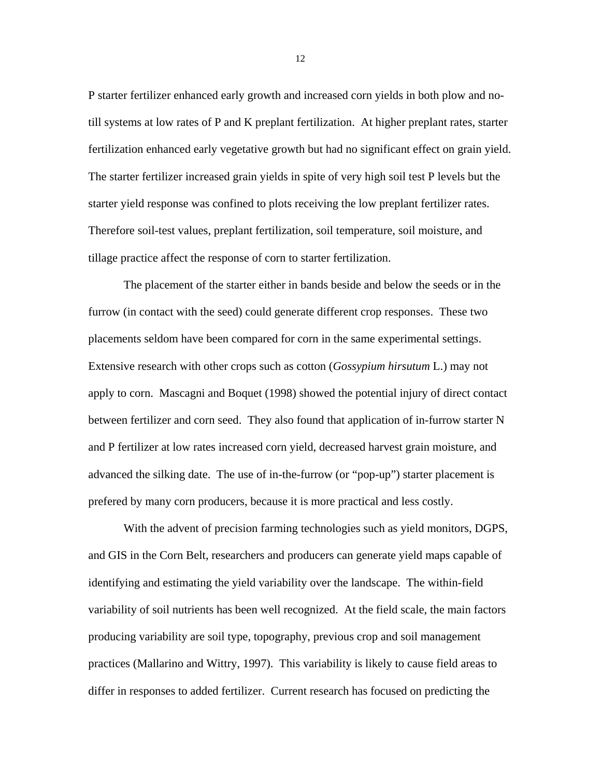P starter fertilizer enhanced early growth and increased corn yields in both plow and notill systems at low rates of P and K preplant fertilization. At higher preplant rates, starter fertilization enhanced early vegetative growth but had no significant effect on grain yield. The starter fertilizer increased grain yields in spite of very high soil test P levels but the starter yield response was confined to plots receiving the low preplant fertilizer rates. Therefore soil-test values, preplant fertilization, soil temperature, soil moisture, and tillage practice affect the response of corn to starter fertilization.

The placement of the starter either in bands beside and below the seeds or in the furrow (in contact with the seed) could generate different crop responses. These two placements seldom have been compared for corn in the same experimental settings. Extensive research with other crops such as cotton (*Gossypium hirsutum* L.) may not apply to corn. Mascagni and Boquet (1998) showed the potential injury of direct contact between fertilizer and corn seed. They also found that application of in-furrow starter N and P fertilizer at low rates increased corn yield, decreased harvest grain moisture, and advanced the silking date. The use of in-the-furrow (or "pop-up") starter placement is prefered by many corn producers, because it is more practical and less costly.

With the advent of precision farming technologies such as yield monitors, DGPS, and GIS in the Corn Belt, researchers and producers can generate yield maps capable of identifying and estimating the yield variability over the landscape. The within-field variability of soil nutrients has been well recognized. At the field scale, the main factors producing variability are soil type, topography, previous crop and soil management practices (Mallarino and Wittry, 1997). This variability is likely to cause field areas to differ in responses to added fertilizer. Current research has focused on predicting the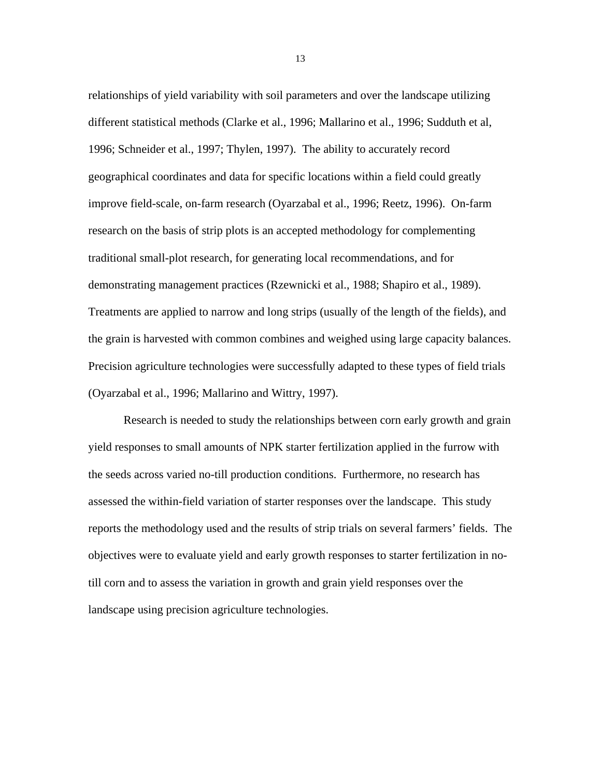relationships of yield variability with soil parameters and over the landscape utilizing different statistical methods (Clarke et al., 1996; Mallarino et al., 1996; Sudduth et al, 1996; Schneider et al., 1997; Thylen, 1997). The ability to accurately record geographical coordinates and data for specific locations within a field could greatly improve field-scale, on-farm research (Oyarzabal et al., 1996; Reetz, 1996). On-farm research on the basis of strip plots is an accepted methodology for complementing traditional small-plot research, for generating local recommendations, and for demonstrating management practices (Rzewnicki et al., 1988; Shapiro et al., 1989). Treatments are applied to narrow and long strips (usually of the length of the fields), and the grain is harvested with common combines and weighed using large capacity balances. Precision agriculture technologies were successfully adapted to these types of field trials (Oyarzabal et al., 1996; Mallarino and Wittry, 1997).

Research is needed to study the relationships between corn early growth and grain yield responses to small amounts of NPK starter fertilization applied in the furrow with the seeds across varied no-till production conditions. Furthermore, no research has assessed the within-field variation of starter responses over the landscape. This study reports the methodology used and the results of strip trials on several farmers' fields. The objectives were to evaluate yield and early growth responses to starter fertilization in notill corn and to assess the variation in growth and grain yield responses over the landscape using precision agriculture technologies.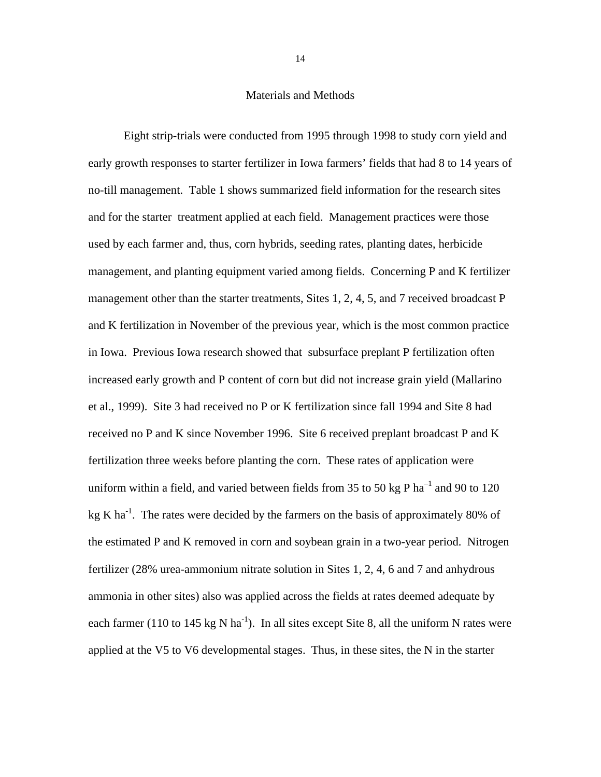#### Materials and Methods

Eight strip-trials were conducted from 1995 through 1998 to study corn yield and early growth responses to starter fertilizer in Iowa farmers' fields that had 8 to 14 years of no-till management. Table 1 shows summarized field information for the research sites and for the starter treatment applied at each field. Management practices were those used by each farmer and, thus, corn hybrids, seeding rates, planting dates, herbicide management, and planting equipment varied among fields. Concerning P and K fertilizer management other than the starter treatments, Sites 1, 2, 4, 5, and 7 received broadcast P and K fertilization in November of the previous year, which is the most common practice in Iowa. Previous Iowa research showed that subsurface preplant P fertilization often increased early growth and P content of corn but did not increase grain yield (Mallarino et al., 1999). Site 3 had received no P or K fertilization since fall 1994 and Site 8 had received no P and K since November 1996. Site 6 received preplant broadcast P and K fertilization three weeks before planting the corn. These rates of application were uniform within a field, and varied between fields from 35 to 50 kg P  $ha^{-1}$  and 90 to 120 kg K ha<sup>-1</sup>. The rates were decided by the farmers on the basis of approximately 80% of the estimated P and K removed in corn and soybean grain in a two-year period. Nitrogen fertilizer (28% urea-ammonium nitrate solution in Sites 1, 2, 4, 6 and 7 and anhydrous ammonia in other sites) also was applied across the fields at rates deemed adequate by each farmer (110 to 145 kg N ha<sup>-1</sup>). In all sites except Site 8, all the uniform N rates were applied at the V5 to V6 developmental stages. Thus, in these sites, the N in the starter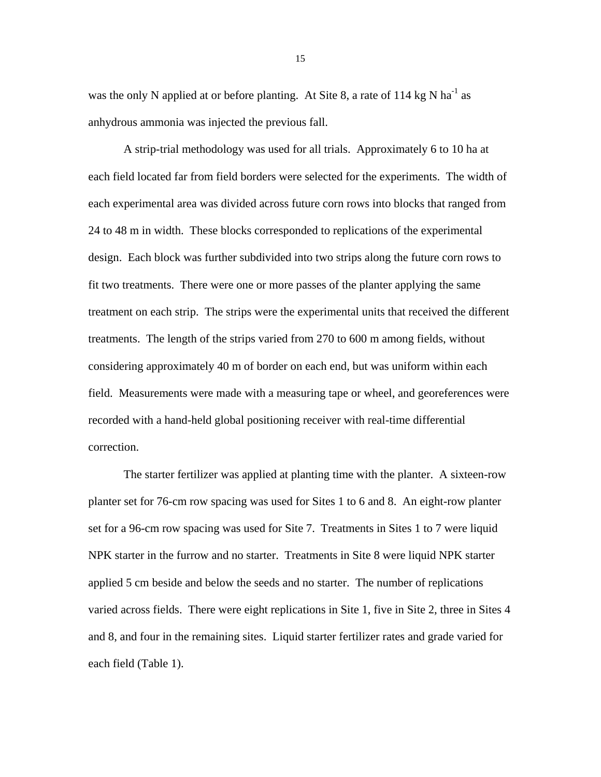was the only N applied at or before planting. At Site 8, a rate of  $114 \text{ kg N}$  ha<sup>-1</sup> as anhydrous ammonia was injected the previous fall.

A strip-trial methodology was used for all trials. Approximately 6 to 10 ha at each field located far from field borders were selected for the experiments. The width of each experimental area was divided across future corn rows into blocks that ranged from 24 to 48 m in width. These blocks corresponded to replications of the experimental design. Each block was further subdivided into two strips along the future corn rows to fit two treatments. There were one or more passes of the planter applying the same treatment on each strip. The strips were the experimental units that received the different treatments. The length of the strips varied from 270 to 600 m among fields, without considering approximately 40 m of border on each end, but was uniform within each field. Measurements were made with a measuring tape or wheel, and georeferences were recorded with a hand-held global positioning receiver with real-time differential correction.

The starter fertilizer was applied at planting time with the planter. A sixteen-row planter set for 76-cm row spacing was used for Sites 1 to 6 and 8. An eight-row planter set for a 96-cm row spacing was used for Site 7. Treatments in Sites 1 to 7 were liquid NPK starter in the furrow and no starter. Treatments in Site 8 were liquid NPK starter applied 5 cm beside and below the seeds and no starter. The number of replications varied across fields. There were eight replications in Site 1, five in Site 2, three in Sites 4 and 8, and four in the remaining sites. Liquid starter fertilizer rates and grade varied for each field (Table 1).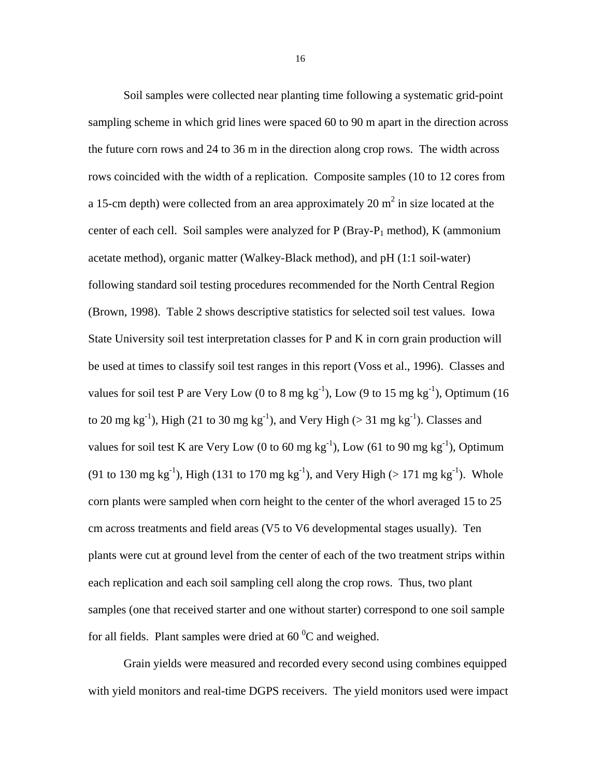Soil samples were collected near planting time following a systematic grid-point sampling scheme in which grid lines were spaced 60 to 90 m apart in the direction across the future corn rows and 24 to 36 m in the direction along crop rows. The width across rows coincided with the width of a replication. Composite samples (10 to 12 cores from a 15-cm depth) were collected from an area approximately 20  $m^2$  in size located at the center of each cell. Soil samples were analyzed for  $P(Bray-P<sub>1</sub> method)$ , K (ammonium acetate method), organic matter (Walkey-Black method), and pH (1:1 soil-water) following standard soil testing procedures recommended for the North Central Region (Brown, 1998). Table 2 shows descriptive statistics for selected soil test values. Iowa State University soil test interpretation classes for P and K in corn grain production will be used at times to classify soil test ranges in this report (Voss et al., 1996). Classes and values for soil test P are Very Low (0 to 8 mg kg<sup>-1</sup>), Low (9 to 15 mg kg<sup>-1</sup>), Optimum (16 to 20 mg kg<sup>-1</sup>), High (21 to 30 mg kg<sup>-1</sup>), and Very High ( $>$  31 mg kg<sup>-1</sup>). Classes and values for soil test K are Very Low (0 to 60 mg  $kg^{-1}$ ), Low (61 to 90 mg  $kg^{-1}$ ), Optimum (91 to 130 mg kg<sup>-1</sup>), High (131 to 170 mg kg<sup>-1</sup>), and Very High (> 171 mg kg<sup>-1</sup>). Whole corn plants were sampled when corn height to the center of the whorl averaged 15 to 25 cm across treatments and field areas (V5 to V6 developmental stages usually). Ten plants were cut at ground level from the center of each of the two treatment strips within each replication and each soil sampling cell along the crop rows. Thus, two plant samples (one that received starter and one without starter) correspond to one soil sample for all fields. Plant samples were dried at  $60^{\degree}$ C and weighed.

Grain yields were measured and recorded every second using combines equipped with yield monitors and real-time DGPS receivers. The yield monitors used were impact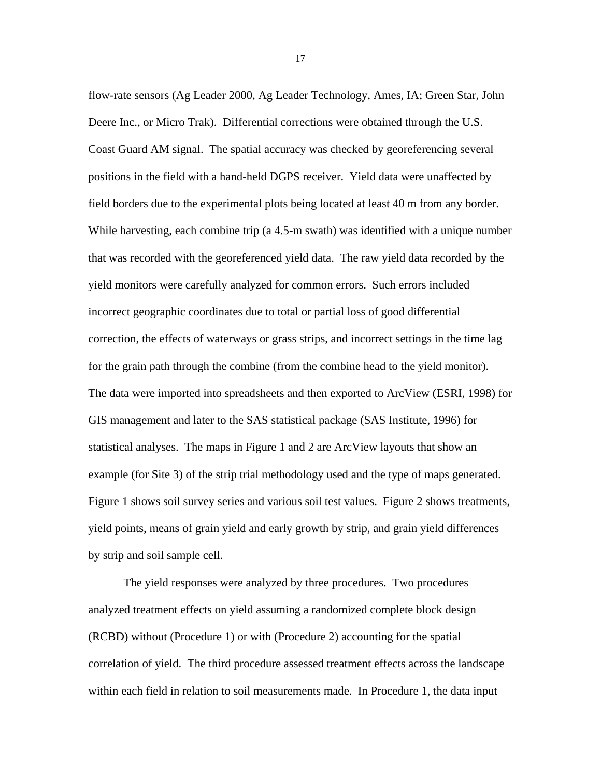flow-rate sensors (Ag Leader 2000, Ag Leader Technology, Ames, IA; Green Star, John Deere Inc., or Micro Trak). Differential corrections were obtained through the U.S. Coast Guard AM signal. The spatial accuracy was checked by georeferencing several positions in the field with a hand-held DGPS receiver. Yield data were unaffected by field borders due to the experimental plots being located at least 40 m from any border. While harvesting, each combine trip (a 4.5-m swath) was identified with a unique number that was recorded with the georeferenced yield data. The raw yield data recorded by the yield monitors were carefully analyzed for common errors. Such errors included incorrect geographic coordinates due to total or partial loss of good differential correction, the effects of waterways or grass strips, and incorrect settings in the time lag for the grain path through the combine (from the combine head to the yield monitor). The data were imported into spreadsheets and then exported to ArcView (ESRI, 1998) for GIS management and later to the SAS statistical package (SAS Institute, 1996) for statistical analyses. The maps in Figure 1 and 2 are ArcView layouts that show an example (for Site 3) of the strip trial methodology used and the type of maps generated. Figure 1 shows soil survey series and various soil test values. Figure 2 shows treatments, yield points, means of grain yield and early growth by strip, and grain yield differences by strip and soil sample cell.

The yield responses were analyzed by three procedures. Two procedures analyzed treatment effects on yield assuming a randomized complete block design (RCBD) without (Procedure 1) or with (Procedure 2) accounting for the spatial correlation of yield. The third procedure assessed treatment effects across the landscape within each field in relation to soil measurements made. In Procedure 1, the data input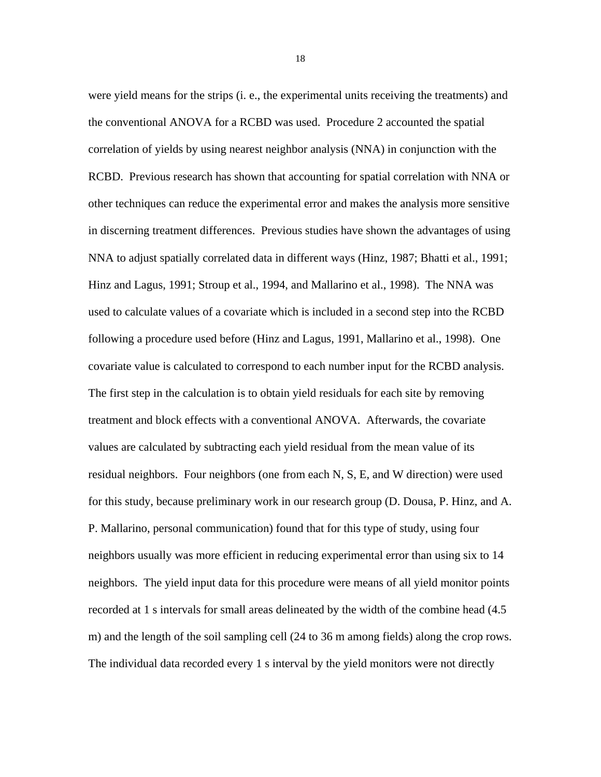were yield means for the strips (i. e., the experimental units receiving the treatments) and the conventional ANOVA for a RCBD was used. Procedure 2 accounted the spatial correlation of yields by using nearest neighbor analysis (NNA) in conjunction with the RCBD. Previous research has shown that accounting for spatial correlation with NNA or other techniques can reduce the experimental error and makes the analysis more sensitive in discerning treatment differences. Previous studies have shown the advantages of using NNA to adjust spatially correlated data in different ways (Hinz, 1987; Bhatti et al., 1991; Hinz and Lagus, 1991; Stroup et al., 1994, and Mallarino et al., 1998). The NNA was used to calculate values of a covariate which is included in a second step into the RCBD following a procedure used before (Hinz and Lagus, 1991, Mallarino et al., 1998). One covariate value is calculated to correspond to each number input for the RCBD analysis. The first step in the calculation is to obtain yield residuals for each site by removing treatment and block effects with a conventional ANOVA. Afterwards, the covariate values are calculated by subtracting each yield residual from the mean value of its residual neighbors. Four neighbors (one from each N, S, E, and W direction) were used for this study, because preliminary work in our research group (D. Dousa, P. Hinz, and A. P. Mallarino, personal communication) found that for this type of study, using four neighbors usually was more efficient in reducing experimental error than using six to 14 neighbors. The yield input data for this procedure were means of all yield monitor points recorded at 1 s intervals for small areas delineated by the width of the combine head (4.5 m) and the length of the soil sampling cell (24 to 36 m among fields) along the crop rows. The individual data recorded every 1 s interval by the yield monitors were not directly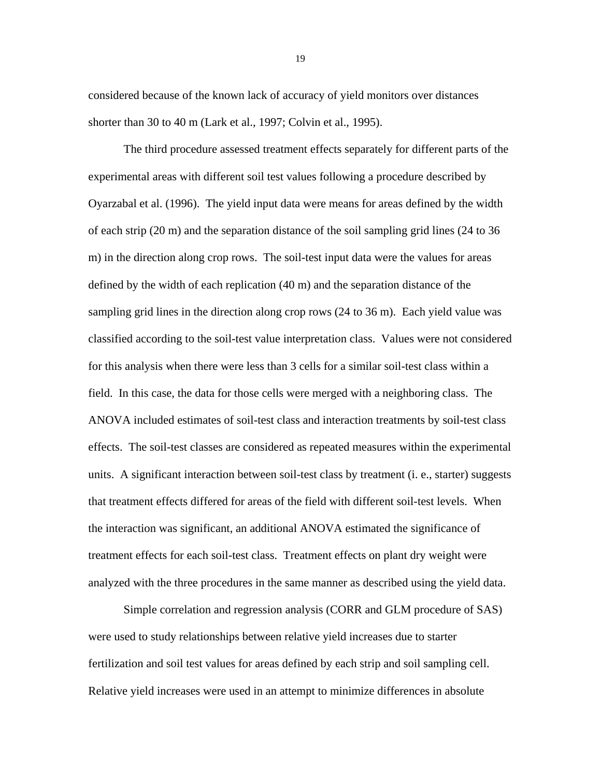considered because of the known lack of accuracy of yield monitors over distances shorter than 30 to 40 m (Lark et al., 1997; Colvin et al., 1995).

The third procedure assessed treatment effects separately for different parts of the experimental areas with different soil test values following a procedure described by Oyarzabal et al. (1996). The yield input data were means for areas defined by the width of each strip (20 m) and the separation distance of the soil sampling grid lines (24 to 36 m) in the direction along crop rows. The soil-test input data were the values for areas defined by the width of each replication (40 m) and the separation distance of the sampling grid lines in the direction along crop rows (24 to 36 m). Each yield value was classified according to the soil-test value interpretation class. Values were not considered for this analysis when there were less than 3 cells for a similar soil-test class within a field. In this case, the data for those cells were merged with a neighboring class. The ANOVA included estimates of soil-test class and interaction treatments by soil-test class effects. The soil-test classes are considered as repeated measures within the experimental units. A significant interaction between soil-test class by treatment (i. e., starter) suggests that treatment effects differed for areas of the field with different soil-test levels. When the interaction was significant, an additional ANOVA estimated the significance of treatment effects for each soil-test class. Treatment effects on plant dry weight were analyzed with the three procedures in the same manner as described using the yield data.

Simple correlation and regression analysis (CORR and GLM procedure of SAS) were used to study relationships between relative yield increases due to starter fertilization and soil test values for areas defined by each strip and soil sampling cell. Relative yield increases were used in an attempt to minimize differences in absolute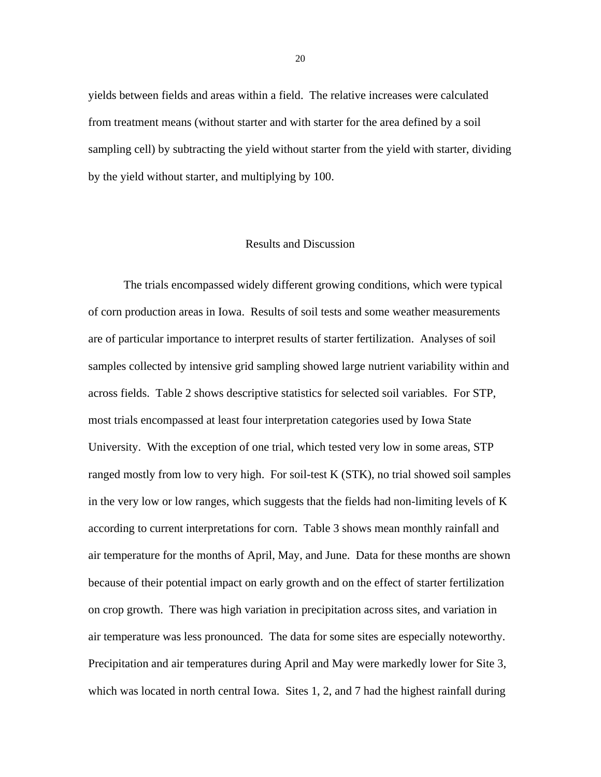yields between fields and areas within a field. The relative increases were calculated from treatment means (without starter and with starter for the area defined by a soil sampling cell) by subtracting the yield without starter from the yield with starter, dividing by the yield without starter, and multiplying by 100.

#### Results and Discussion

The trials encompassed widely different growing conditions, which were typical of corn production areas in Iowa. Results of soil tests and some weather measurements are of particular importance to interpret results of starter fertilization. Analyses of soil samples collected by intensive grid sampling showed large nutrient variability within and across fields. Table 2 shows descriptive statistics for selected soil variables. For STP, most trials encompassed at least four interpretation categories used by Iowa State University. With the exception of one trial, which tested very low in some areas, STP ranged mostly from low to very high. For soil-test K (STK), no trial showed soil samples in the very low or low ranges, which suggests that the fields had non-limiting levels of K according to current interpretations for corn. Table 3 shows mean monthly rainfall and air temperature for the months of April, May, and June. Data for these months are shown because of their potential impact on early growth and on the effect of starter fertilization on crop growth. There was high variation in precipitation across sites, and variation in air temperature was less pronounced. The data for some sites are especially noteworthy. Precipitation and air temperatures during April and May were markedly lower for Site 3, which was located in north central Iowa. Sites 1, 2, and 7 had the highest rainfall during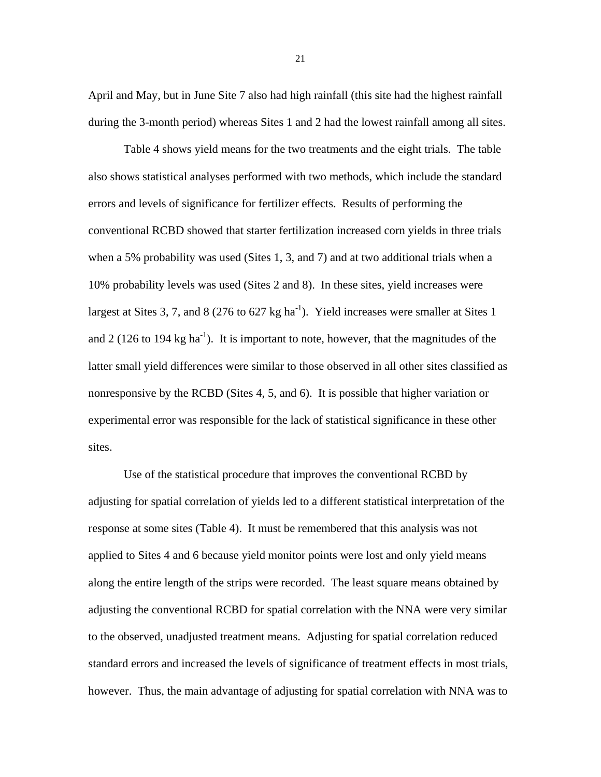April and May, but in June Site 7 also had high rainfall (this site had the highest rainfall during the 3-month period) whereas Sites 1 and 2 had the lowest rainfall among all sites.

Table 4 shows yield means for the two treatments and the eight trials. The table also shows statistical analyses performed with two methods, which include the standard errors and levels of significance for fertilizer effects. Results of performing the conventional RCBD showed that starter fertilization increased corn yields in three trials when a 5% probability was used (Sites 1, 3, and 7) and at two additional trials when a 10% probability levels was used (Sites 2 and 8). In these sites, yield increases were largest at Sites 3, 7, and 8 (276 to 627 kg ha<sup>-1</sup>). Yield increases were smaller at Sites 1 and 2 (126 to 194 kg ha<sup>-1</sup>). It is important to note, however, that the magnitudes of the latter small yield differences were similar to those observed in all other sites classified as nonresponsive by the RCBD (Sites 4, 5, and 6). It is possible that higher variation or experimental error was responsible for the lack of statistical significance in these other sites.

Use of the statistical procedure that improves the conventional RCBD by adjusting for spatial correlation of yields led to a different statistical interpretation of the response at some sites (Table 4). It must be remembered that this analysis was not applied to Sites 4 and 6 because yield monitor points were lost and only yield means along the entire length of the strips were recorded. The least square means obtained by adjusting the conventional RCBD for spatial correlation with the NNA were very similar to the observed, unadjusted treatment means. Adjusting for spatial correlation reduced standard errors and increased the levels of significance of treatment effects in most trials, however. Thus, the main advantage of adjusting for spatial correlation with NNA was to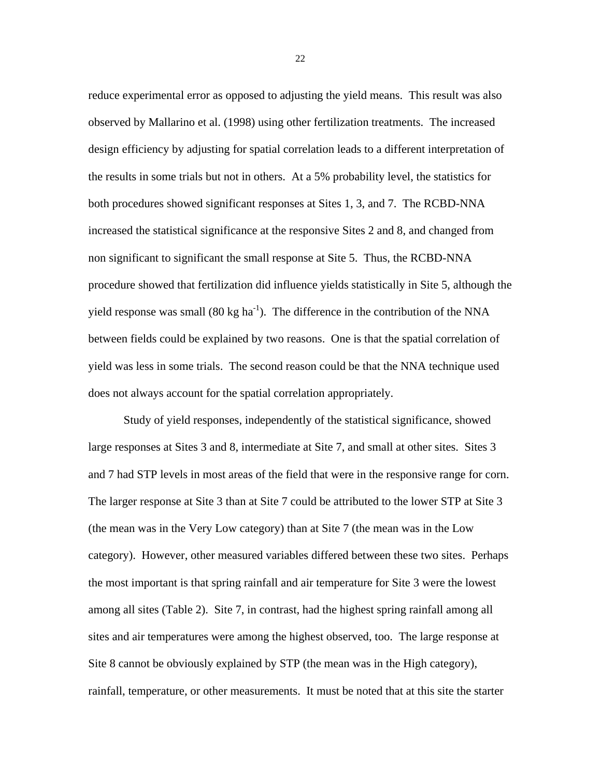reduce experimental error as opposed to adjusting the yield means. This result was also observed by Mallarino et al. (1998) using other fertilization treatments. The increased design efficiency by adjusting for spatial correlation leads to a different interpretation of the results in some trials but not in others. At a 5% probability level, the statistics for both procedures showed significant responses at Sites 1, 3, and 7. The RCBD-NNA increased the statistical significance at the responsive Sites 2 and 8, and changed from non significant to significant the small response at Site 5. Thus, the RCBD-NNA procedure showed that fertilization did influence yields statistically in Site 5, although the yield response was small  $(80 \text{ kg ha}^{-1})$ . The difference in the contribution of the NNA between fields could be explained by two reasons. One is that the spatial correlation of yield was less in some trials. The second reason could be that the NNA technique used does not always account for the spatial correlation appropriately.

Study of yield responses, independently of the statistical significance, showed large responses at Sites 3 and 8, intermediate at Site 7, and small at other sites. Sites 3 and 7 had STP levels in most areas of the field that were in the responsive range for corn. The larger response at Site 3 than at Site 7 could be attributed to the lower STP at Site 3 (the mean was in the Very Low category) than at Site 7 (the mean was in the Low category). However, other measured variables differed between these two sites. Perhaps the most important is that spring rainfall and air temperature for Site 3 were the lowest among all sites (Table 2). Site 7, in contrast, had the highest spring rainfall among all sites and air temperatures were among the highest observed, too. The large response at Site 8 cannot be obviously explained by STP (the mean was in the High category), rainfall, temperature, or other measurements. It must be noted that at this site the starter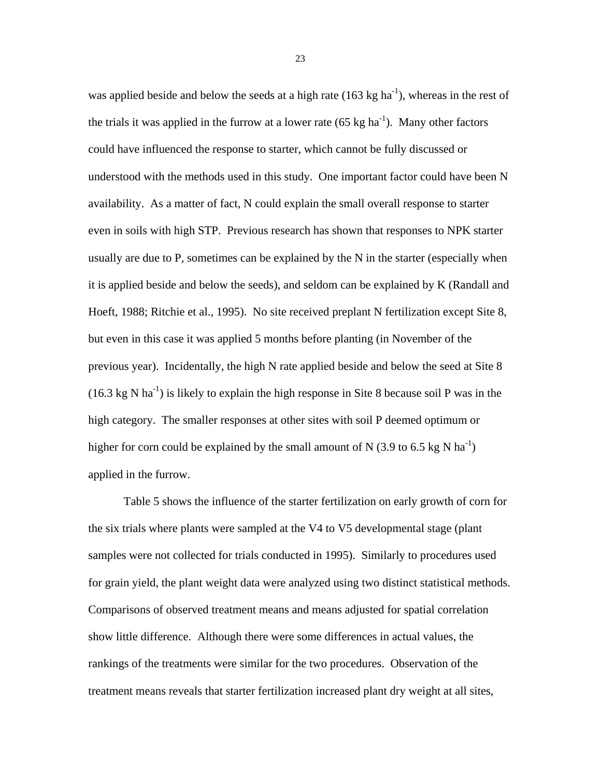was applied beside and below the seeds at a high rate  $(163 \text{ kg ha}^{-1})$ , whereas in the rest of the trials it was applied in the furrow at a lower rate  $(65 \text{ kg ha}^{-1})$ . Many other factors could have influenced the response to starter, which cannot be fully discussed or understood with the methods used in this study. One important factor could have been N availability. As a matter of fact, N could explain the small overall response to starter even in soils with high STP. Previous research has shown that responses to NPK starter usually are due to P, sometimes can be explained by the N in the starter (especially when it is applied beside and below the seeds), and seldom can be explained by K (Randall and Hoeft, 1988; Ritchie et al., 1995). No site received preplant N fertilization except Site 8, but even in this case it was applied 5 months before planting (in November of the previous year). Incidentally, the high N rate applied beside and below the seed at Site 8  $(16.3 \text{ kg N} \text{ ha}^{-1})$  is likely to explain the high response in Site 8 because soil P was in the high category. The smaller responses at other sites with soil P deemed optimum or higher for corn could be explained by the small amount of N (3.9 to 6.5 kg N ha<sup>-1</sup>) applied in the furrow.

Table 5 shows the influence of the starter fertilization on early growth of corn for the six trials where plants were sampled at the V4 to V5 developmental stage (plant samples were not collected for trials conducted in 1995). Similarly to procedures used for grain yield, the plant weight data were analyzed using two distinct statistical methods. Comparisons of observed treatment means and means adjusted for spatial correlation show little difference. Although there were some differences in actual values, the rankings of the treatments were similar for the two procedures. Observation of the treatment means reveals that starter fertilization increased plant dry weight at all sites,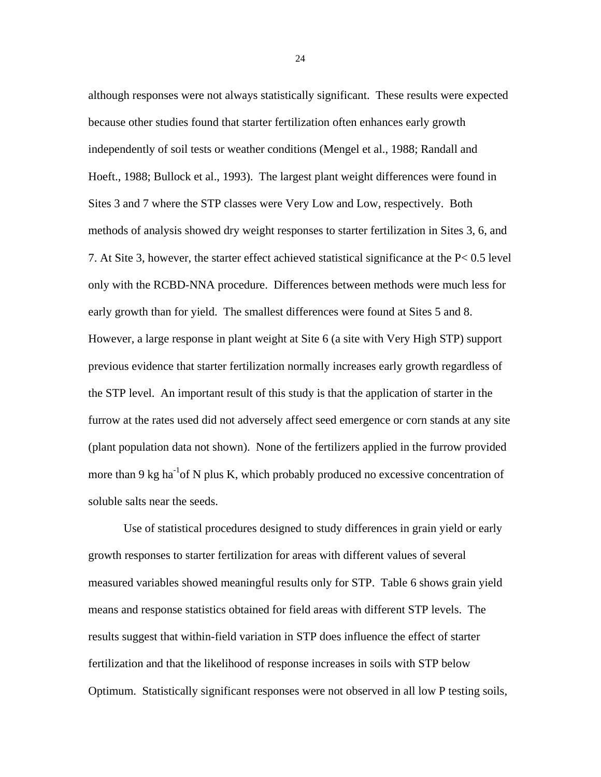although responses were not always statistically significant. These results were expected because other studies found that starter fertilization often enhances early growth independently of soil tests or weather conditions (Mengel et al., 1988; Randall and Hoeft., 1988; Bullock et al., 1993). The largest plant weight differences were found in Sites 3 and 7 where the STP classes were Very Low and Low, respectively. Both methods of analysis showed dry weight responses to starter fertilization in Sites 3, 6, and 7. At Site 3, however, the starter effect achieved statistical significance at the P< 0.5 level only with the RCBD-NNA procedure. Differences between methods were much less for early growth than for yield. The smallest differences were found at Sites 5 and 8. However, a large response in plant weight at Site 6 (a site with Very High STP) support previous evidence that starter fertilization normally increases early growth regardless of the STP level. An important result of this study is that the application of starter in the furrow at the rates used did not adversely affect seed emergence or corn stands at any site (plant population data not shown). None of the fertilizers applied in the furrow provided more than 9 kg ha<sup>-1</sup>of N plus K, which probably produced no excessive concentration of soluble salts near the seeds.

Use of statistical procedures designed to study differences in grain yield or early growth responses to starter fertilization for areas with different values of several measured variables showed meaningful results only for STP. Table 6 shows grain yield means and response statistics obtained for field areas with different STP levels. The results suggest that within-field variation in STP does influence the effect of starter fertilization and that the likelihood of response increases in soils with STP below Optimum. Statistically significant responses were not observed in all low P testing soils,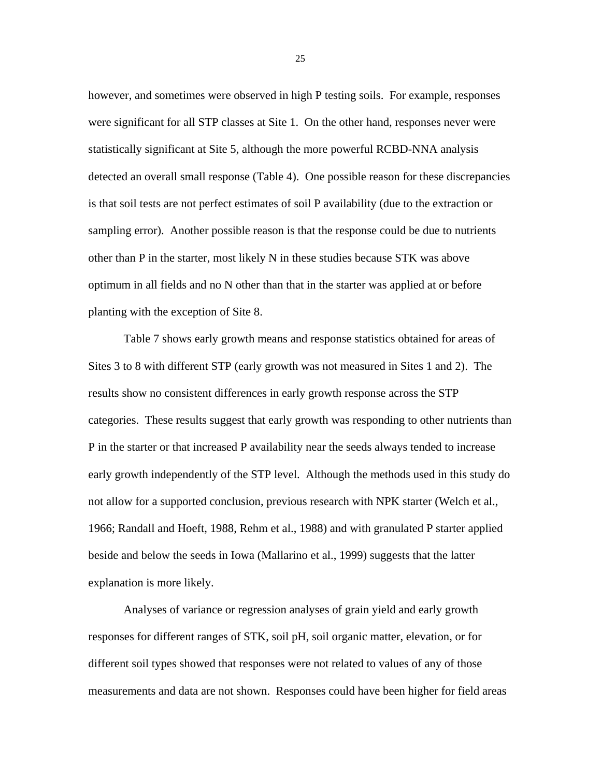however, and sometimes were observed in high P testing soils. For example, responses were significant for all STP classes at Site 1. On the other hand, responses never were statistically significant at Site 5, although the more powerful RCBD-NNA analysis detected an overall small response (Table 4). One possible reason for these discrepancies is that soil tests are not perfect estimates of soil P availability (due to the extraction or sampling error). Another possible reason is that the response could be due to nutrients other than P in the starter, most likely N in these studies because STK was above optimum in all fields and no N other than that in the starter was applied at or before planting with the exception of Site 8.

Table 7 shows early growth means and response statistics obtained for areas of Sites 3 to 8 with different STP (early growth was not measured in Sites 1 and 2). The results show no consistent differences in early growth response across the STP categories. These results suggest that early growth was responding to other nutrients than P in the starter or that increased P availability near the seeds always tended to increase early growth independently of the STP level. Although the methods used in this study do not allow for a supported conclusion, previous research with NPK starter (Welch et al., 1966; Randall and Hoeft, 1988, Rehm et al., 1988) and with granulated P starter applied beside and below the seeds in Iowa (Mallarino et al., 1999) suggests that the latter explanation is more likely.

Analyses of variance or regression analyses of grain yield and early growth responses for different ranges of STK, soil pH, soil organic matter, elevation, or for different soil types showed that responses were not related to values of any of those measurements and data are not shown. Responses could have been higher for field areas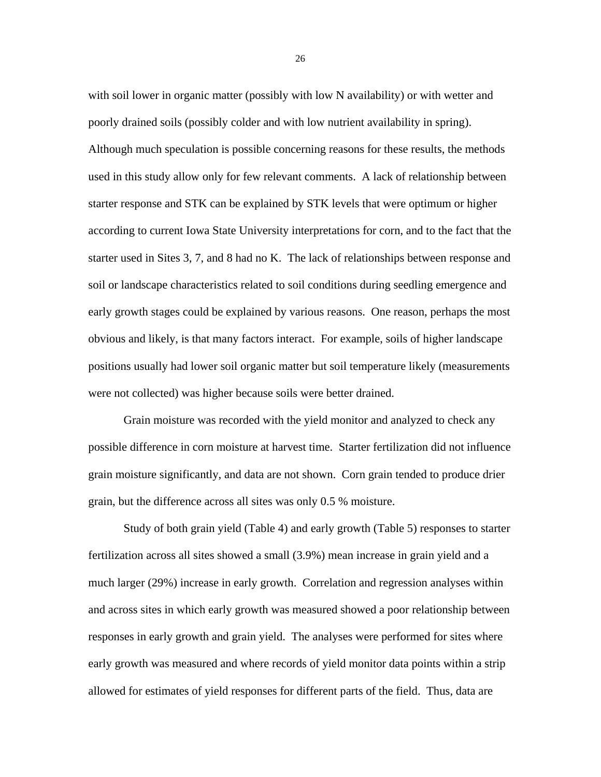with soil lower in organic matter (possibly with low N availability) or with wetter and poorly drained soils (possibly colder and with low nutrient availability in spring). Although much speculation is possible concerning reasons for these results, the methods used in this study allow only for few relevant comments. A lack of relationship between starter response and STK can be explained by STK levels that were optimum or higher according to current Iowa State University interpretations for corn, and to the fact that the starter used in Sites 3, 7, and 8 had no K. The lack of relationships between response and soil or landscape characteristics related to soil conditions during seedling emergence and early growth stages could be explained by various reasons. One reason, perhaps the most obvious and likely, is that many factors interact. For example, soils of higher landscape positions usually had lower soil organic matter but soil temperature likely (measurements were not collected) was higher because soils were better drained.

Grain moisture was recorded with the yield monitor and analyzed to check any possible difference in corn moisture at harvest time. Starter fertilization did not influence grain moisture significantly, and data are not shown. Corn grain tended to produce drier grain, but the difference across all sites was only 0.5 % moisture.

Study of both grain yield (Table 4) and early growth (Table 5) responses to starter fertilization across all sites showed a small (3.9%) mean increase in grain yield and a much larger (29%) increase in early growth. Correlation and regression analyses within and across sites in which early growth was measured showed a poor relationship between responses in early growth and grain yield. The analyses were performed for sites where early growth was measured and where records of yield monitor data points within a strip allowed for estimates of yield responses for different parts of the field. Thus, data are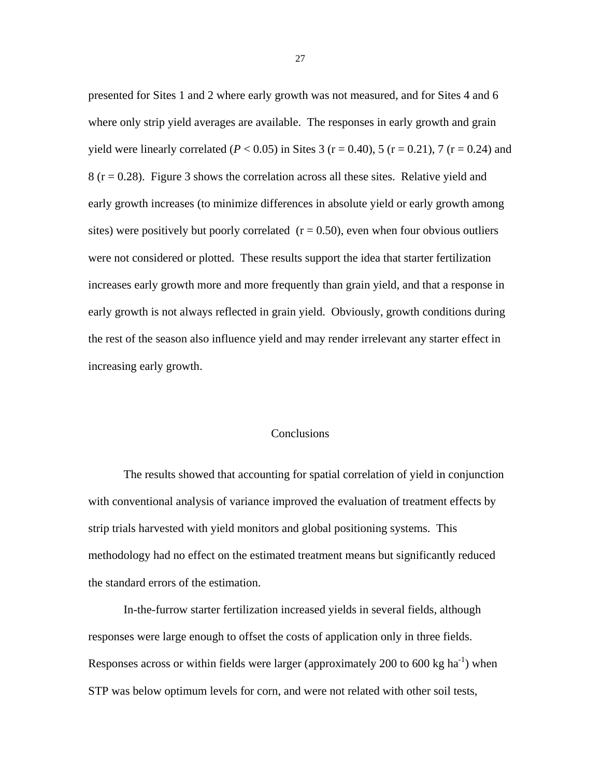presented for Sites 1 and 2 where early growth was not measured, and for Sites 4 and 6 where only strip yield averages are available. The responses in early growth and grain yield were linearly correlated ( $P < 0.05$ ) in Sites 3 ( $r = 0.40$ ), 5 ( $r = 0.21$ ), 7 ( $r = 0.24$ ) and  $8$  (r = 0.28). Figure 3 shows the correlation across all these sites. Relative yield and early growth increases (to minimize differences in absolute yield or early growth among sites) were positively but poorly correlated  $(r = 0.50)$ , even when four obvious outliers were not considered or plotted. These results support the idea that starter fertilization increases early growth more and more frequently than grain yield, and that a response in early growth is not always reflected in grain yield. Obviously, growth conditions during the rest of the season also influence yield and may render irrelevant any starter effect in increasing early growth.

#### **Conclusions**

The results showed that accounting for spatial correlation of yield in conjunction with conventional analysis of variance improved the evaluation of treatment effects by strip trials harvested with yield monitors and global positioning systems. This methodology had no effect on the estimated treatment means but significantly reduced the standard errors of the estimation.

In-the-furrow starter fertilization increased yields in several fields, although responses were large enough to offset the costs of application only in three fields. Responses across or within fields were larger (approximately 200 to 600 kg ha<sup>-1</sup>) when STP was below optimum levels for corn, and were not related with other soil tests,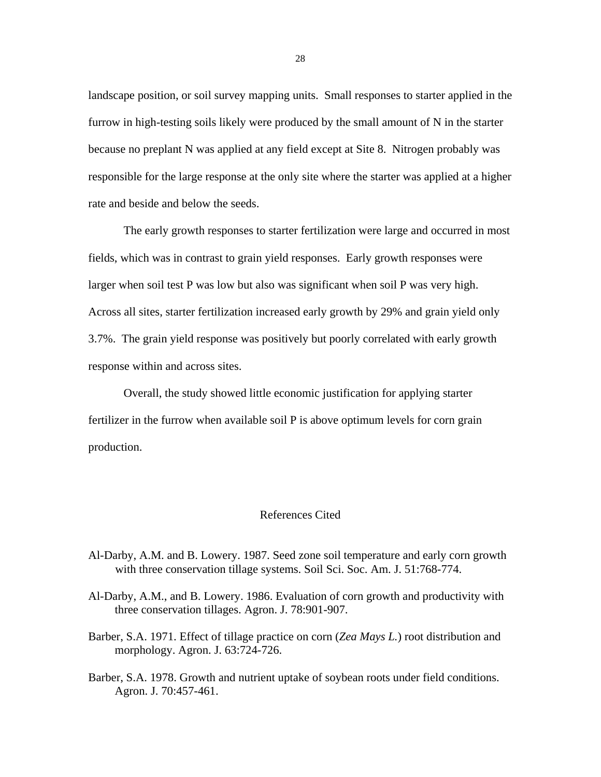landscape position, or soil survey mapping units. Small responses to starter applied in the furrow in high-testing soils likely were produced by the small amount of N in the starter because no preplant N was applied at any field except at Site 8. Nitrogen probably was responsible for the large response at the only site where the starter was applied at a higher rate and beside and below the seeds.

The early growth responses to starter fertilization were large and occurred in most fields, which was in contrast to grain yield responses. Early growth responses were larger when soil test P was low but also was significant when soil P was very high. Across all sites, starter fertilization increased early growth by 29% and grain yield only 3.7%. The grain yield response was positively but poorly correlated with early growth response within and across sites.

Overall, the study showed little economic justification for applying starter fertilizer in the furrow when available soil P is above optimum levels for corn grain production.

## References Cited

- Al-Darby, A.M. and B. Lowery. 1987. Seed zone soil temperature and early corn growth with three conservation tillage systems. Soil Sci. Soc. Am. J. 51:768-774.
- Al-Darby, A.M., and B. Lowery. 1986. Evaluation of corn growth and productivity with three conservation tillages. Agron. J. 78:901-907.
- Barber, S.A. 1971. Effect of tillage practice on corn (*Zea Mays L.*) root distribution and morphology. Agron. J. 63:724-726.
- Barber, S.A. 1978. Growth and nutrient uptake of soybean roots under field conditions. Agron. J. 70:457-461.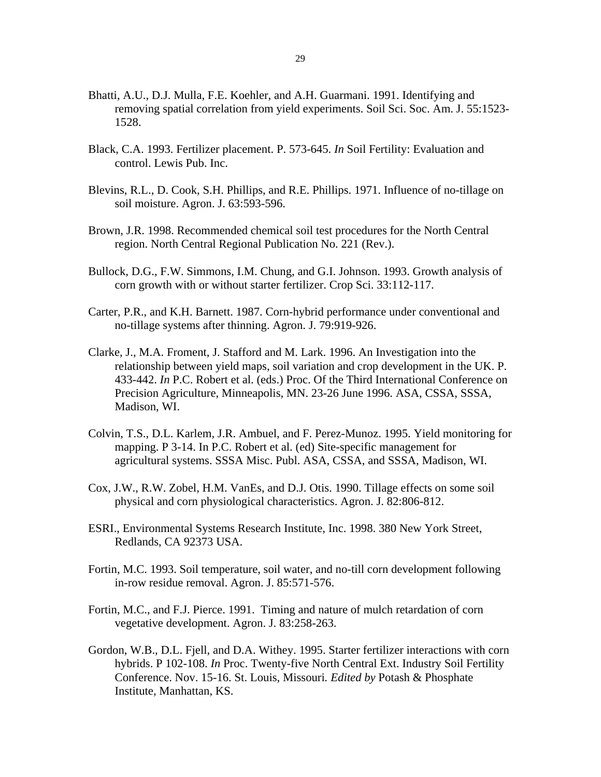- Bhatti, A.U., D.J. Mulla, F.E. Koehler, and A.H. Guarmani. 1991. Identifying and removing spatial correlation from yield experiments. Soil Sci. Soc. Am. J. 55:1523- 1528.
- Black, C.A. 1993. Fertilizer placement. P. 573-645. *In* Soil Fertility: Evaluation and control. Lewis Pub. Inc.
- Blevins, R.L., D. Cook, S.H. Phillips, and R.E. Phillips. 1971. Influence of no-tillage on soil moisture. Agron. J. 63:593-596.
- Brown, J.R. 1998. Recommended chemical soil test procedures for the North Central region. North Central Regional Publication No. 221 (Rev.).
- Bullock, D.G., F.W. Simmons, I.M. Chung, and G.I. Johnson. 1993. Growth analysis of corn growth with or without starter fertilizer. Crop Sci. 33:112-117.
- Carter, P.R., and K.H. Barnett. 1987. Corn-hybrid performance under conventional and no-tillage systems after thinning. Agron. J. 79:919-926.
- Clarke, J., M.A. Froment, J. Stafford and M. Lark. 1996. An Investigation into the relationship between yield maps, soil variation and crop development in the UK. P. 433-442. *In* P.C. Robert et al. (eds.) Proc. Of the Third International Conference on Precision Agriculture, Minneapolis, MN. 23-26 June 1996. ASA, CSSA, SSSA, Madison, WI.
- Colvin, T.S., D.L. Karlem, J.R. Ambuel, and F. Perez-Munoz. 1995. Yield monitoring for mapping. P 3-14. In P.C. Robert et al. (ed) Site-specific management for agricultural systems. SSSA Misc. Publ. ASA, CSSA, and SSSA, Madison, WI.
- Cox, J.W., R.W. Zobel, H.M. VanEs, and D.J. Otis. 1990. Tillage effects on some soil physical and corn physiological characteristics. Agron. J. 82:806-812.
- ESRI., Environmental Systems Research Institute, Inc. 1998. 380 New York Street, Redlands, CA 92373 USA.
- Fortin, M.C. 1993. Soil temperature, soil water, and no-till corn development following in-row residue removal. Agron. J. 85:571-576.
- Fortin, M.C., and F.J. Pierce. 1991. Timing and nature of mulch retardation of corn vegetative development. Agron. J. 83:258-263.
- Gordon, W.B., D.L. Fjell, and D.A. Withey. 1995. Starter fertilizer interactions with corn hybrids. P 102-108. *In* Proc. Twenty-five North Central Ext. Industry Soil Fertility Conference. Nov. 15-16. St. Louis, Missouri*. Edited by* Potash & Phosphate Institute, Manhattan, KS.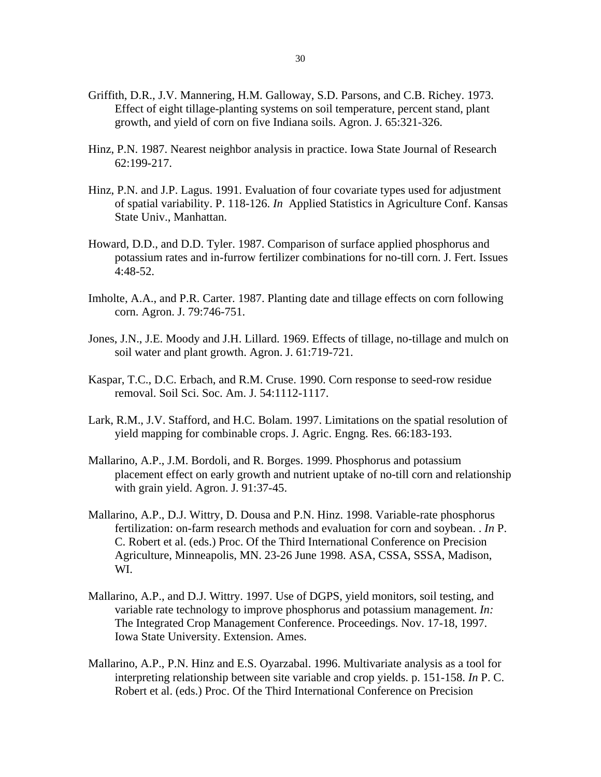- Griffith, D.R., J.V. Mannering, H.M. Galloway, S.D. Parsons, and C.B. Richey. 1973. Effect of eight tillage-planting systems on soil temperature, percent stand, plant growth, and yield of corn on five Indiana soils. Agron. J. 65:321-326.
- Hinz, P.N. 1987. Nearest neighbor analysis in practice. Iowa State Journal of Research 62:199-217.
- Hinz, P.N. and J.P. Lagus. 1991. Evaluation of four covariate types used for adjustment of spatial variability. P. 118-126. *In* Applied Statistics in Agriculture Conf. Kansas State Univ., Manhattan.
- Howard, D.D., and D.D. Tyler. 1987. Comparison of surface applied phosphorus and potassium rates and in-furrow fertilizer combinations for no-till corn. J. Fert. Issues 4:48-52.
- Imholte, A.A., and P.R. Carter. 1987. Planting date and tillage effects on corn following corn. Agron. J. 79:746-751.
- Jones, J.N., J.E. Moody and J.H. Lillard. 1969. Effects of tillage, no-tillage and mulch on soil water and plant growth. Agron. J. 61:719-721.
- Kaspar, T.C., D.C. Erbach, and R.M. Cruse. 1990. Corn response to seed-row residue removal. Soil Sci. Soc. Am. J. 54:1112-1117.
- Lark, R.M., J.V. Stafford, and H.C. Bolam. 1997. Limitations on the spatial resolution of yield mapping for combinable crops. J. Agric. Engng. Res. 66:183-193.
- Mallarino, A.P., J.M. Bordoli, and R. Borges. 1999. Phosphorus and potassium placement effect on early growth and nutrient uptake of no-till corn and relationship with grain yield. Agron. J. 91:37-45.
- Mallarino, A.P., D.J. Wittry, D. Dousa and P.N. Hinz. 1998. Variable-rate phosphorus fertilization: on-farm research methods and evaluation for corn and soybean. . *In* P. C. Robert et al. (eds.) Proc. Of the Third International Conference on Precision Agriculture, Minneapolis, MN. 23-26 June 1998. ASA, CSSA, SSSA, Madison, WI.
- Mallarino, A.P., and D.J. Wittry. 1997. Use of DGPS, yield monitors, soil testing, and variable rate technology to improve phosphorus and potassium management. *In:* The Integrated Crop Management Conference. Proceedings. Nov. 17-18, 1997. Iowa State University. Extension. Ames.
- Mallarino, A.P., P.N. Hinz and E.S. Oyarzabal. 1996. Multivariate analysis as a tool for interpreting relationship between site variable and crop yields. p. 151-158. *In* P. C. Robert et al. (eds.) Proc. Of the Third International Conference on Precision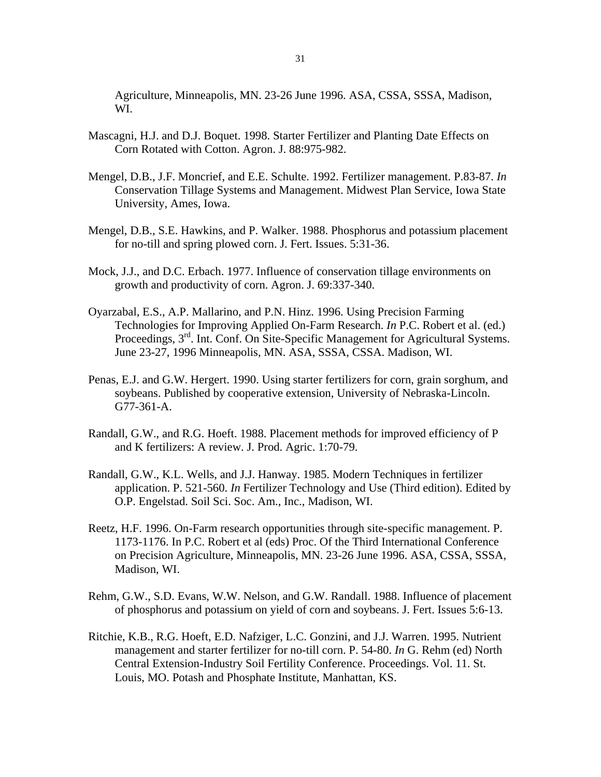Agriculture, Minneapolis, MN. 23-26 June 1996. ASA, CSSA, SSSA, Madison, WI.

- Mascagni, H.J. and D.J. Boquet. 1998. Starter Fertilizer and Planting Date Effects on Corn Rotated with Cotton. Agron. J. 88:975-982.
- Mengel, D.B., J.F. Moncrief, and E.E. Schulte. 1992. Fertilizer management. P.83-87. *In* Conservation Tillage Systems and Management. Midwest Plan Service, Iowa State University, Ames, Iowa.
- Mengel, D.B., S.E. Hawkins, and P. Walker. 1988. Phosphorus and potassium placement for no-till and spring plowed corn. J. Fert. Issues. 5:31-36.
- Mock, J.J., and D.C. Erbach. 1977. Influence of conservation tillage environments on growth and productivity of corn. Agron. J. 69:337-340.
- Oyarzabal, E.S., A.P. Mallarino, and P.N. Hinz. 1996. Using Precision Farming Technologies for Improving Applied On-Farm Research. *In* P.C. Robert et al. (ed.) Proceedings, 3<sup>rd</sup>. Int. Conf. On Site-Specific Management for Agricultural Systems. June 23-27, 1996 Minneapolis, MN. ASA, SSSA, CSSA. Madison, WI.
- Penas, E.J. and G.W. Hergert. 1990. Using starter fertilizers for corn, grain sorghum, and soybeans. Published by cooperative extension, University of Nebraska-Lincoln. G77-361-A.
- Randall, G.W., and R.G. Hoeft. 1988. Placement methods for improved efficiency of P and K fertilizers: A review. J. Prod. Agric. 1:70-79.
- Randall, G.W., K.L. Wells, and J.J. Hanway. 1985. Modern Techniques in fertilizer application. P. 521-560. *In* Fertilizer Technology and Use (Third edition). Edited by O.P. Engelstad. Soil Sci. Soc. Am., Inc., Madison, WI.
- Reetz, H.F. 1996. On-Farm research opportunities through site-specific management. P. 1173-1176. In P.C. Robert et al (eds) Proc. Of the Third International Conference on Precision Agriculture, Minneapolis, MN. 23-26 June 1996. ASA, CSSA, SSSA, Madison, WI.
- Rehm, G.W., S.D. Evans, W.W. Nelson, and G.W. Randall. 1988. Influence of placement of phosphorus and potassium on yield of corn and soybeans. J. Fert. Issues 5:6-13.
- Ritchie, K.B., R.G. Hoeft, E.D. Nafziger, L.C. Gonzini, and J.J. Warren. 1995. Nutrient management and starter fertilizer for no-till corn. P. 54-80. *In* G. Rehm (ed) North Central Extension-Industry Soil Fertility Conference. Proceedings. Vol. 11. St. Louis, MO. Potash and Phosphate Institute, Manhattan, KS.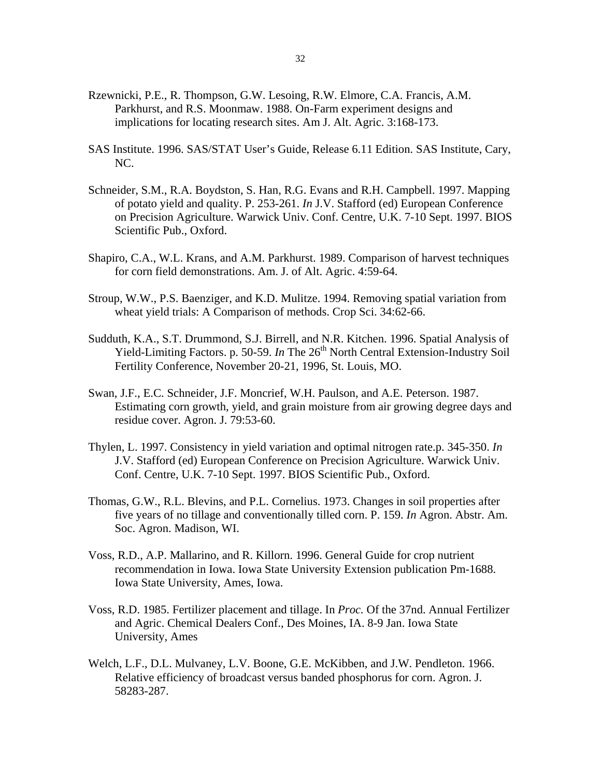- Rzewnicki, P.E., R. Thompson, G.W. Lesoing, R.W. Elmore, C.A. Francis, A.M. Parkhurst, and R.S. Moonmaw. 1988. On-Farm experiment designs and implications for locating research sites. Am J. Alt. Agric. 3:168-173.
- SAS Institute. 1996. SAS/STAT User's Guide, Release 6.11 Edition. SAS Institute, Cary, NC.
- Schneider, S.M., R.A. Boydston, S. Han, R.G. Evans and R.H. Campbell. 1997. Mapping of potato yield and quality. P. 253-261. *In* J.V. Stafford (ed) European Conference on Precision Agriculture. Warwick Univ. Conf. Centre, U.K. 7-10 Sept. 1997. BIOS Scientific Pub., Oxford.
- Shapiro, C.A., W.L. Krans, and A.M. Parkhurst. 1989. Comparison of harvest techniques for corn field demonstrations. Am. J. of Alt. Agric. 4:59-64.
- Stroup, W.W., P.S. Baenziger, and K.D. Mulitze. 1994. Removing spatial variation from wheat yield trials: A Comparison of methods. Crop Sci. 34:62-66.
- Sudduth, K.A., S.T. Drummond, S.J. Birrell, and N.R. Kitchen. 1996. Spatial Analysis of Yield-Limiting Factors. p. 50-59. *In* The 26<sup>th</sup> North Central Extension-Industry Soil Fertility Conference, November 20-21, 1996, St. Louis, MO.
- Swan, J.F., E.C. Schneider, J.F. Moncrief, W.H. Paulson, and A.E. Peterson. 1987. Estimating corn growth, yield, and grain moisture from air growing degree days and residue cover. Agron. J. 79:53-60.
- Thylen, L. 1997. Consistency in yield variation and optimal nitrogen rate.p. 345-350. *In* J.V. Stafford (ed) European Conference on Precision Agriculture. Warwick Univ. Conf. Centre, U.K. 7-10 Sept. 1997. BIOS Scientific Pub., Oxford.
- Thomas, G.W., R.L. Blevins, and P.L. Cornelius. 1973. Changes in soil properties after five years of no tillage and conventionally tilled corn. P. 159. *In* Agron. Abstr. Am. Soc. Agron. Madison, WI.
- Voss, R.D., A.P. Mallarino, and R. Killorn. 1996. General Guide for crop nutrient recommendation in Iowa. Iowa State University Extension publication Pm-1688. Iowa State University, Ames, Iowa.
- Voss, R.D. 1985. Fertilizer placement and tillage. In *Proc.* Of the 37nd. Annual Fertilizer and Agric. Chemical Dealers Conf., Des Moines, IA. 8-9 Jan. Iowa State University, Ames
- Welch, L.F., D.L. Mulvaney, L.V. Boone, G.E. McKibben, and J.W. Pendleton. 1966. Relative efficiency of broadcast versus banded phosphorus for corn. Agron. J. 58283-287.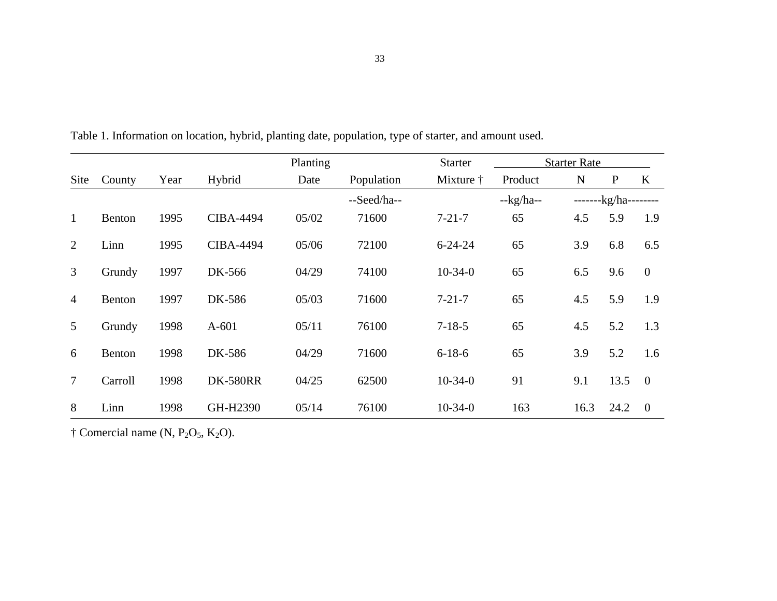|                |         |      |                  | Planting |                          | <b>Starter</b> | <b>Starter Rate</b> |                 |              |                |
|----------------|---------|------|------------------|----------|--------------------------|----------------|---------------------|-----------------|--------------|----------------|
| Site           | County  | Year | Hybrid           | Date     | Population               |                | Product             | N               | $\mathbf{P}$ | $\bf K$        |
|                |         |      |                  |          | --Seed/ha--<br>$-kg/ha-$ |                |                     | --------kg/ha-- |              |                |
| $\mathbf{1}$   | Benton  | 1995 | <b>CIBA-4494</b> | 05/02    | 71600                    | $7 - 21 - 7$   | 65                  | 4.5             | 5.9          | 1.9            |
| 2              | Linn    | 1995 | <b>CIBA-4494</b> | 05/06    | 72100                    | $6 - 24 - 24$  | 65                  | 3.9             | 6.8          | 6.5            |
| 3              | Grundy  | 1997 | DK-566           | 04/29    | 74100                    | $10-34-0$      | 65                  | 6.5             | 9.6          | $\overline{0}$ |
| $\overline{4}$ | Benton  | 1997 | DK-586           | 05/03    | 71600                    | $7 - 21 - 7$   | 65                  | 4.5             | 5.9          | 1.9            |
| 5              | Grundy  | 1998 | $A-601$          | 05/11    | 76100                    | $7 - 18 - 5$   | 65                  | 4.5             | 5.2          | 1.3            |
| 6              | Benton  | 1998 | DK-586           | 04/29    | 71600                    | $6 - 18 - 6$   | 65                  | 3.9             | 5.2          | 1.6            |
| $\tau$         | Carroll | 1998 | <b>DK-580RR</b>  | 04/25    | 62500                    | $10-34-0$      | 91                  | 9.1             | 13.5         | $\overline{0}$ |
| 8              | Linn    | 1998 | GH-H2390         | 05/14    | 76100                    | $10-34-0$      | 163                 | 16.3            | 24.2         | $\overline{0}$ |

Table 1. Information on location, hybrid, planting date, population, type of starter, and amount used.

 $\dagger$  Comercial name (N, P<sub>2</sub>O<sub>5</sub>, K<sub>2</sub>O).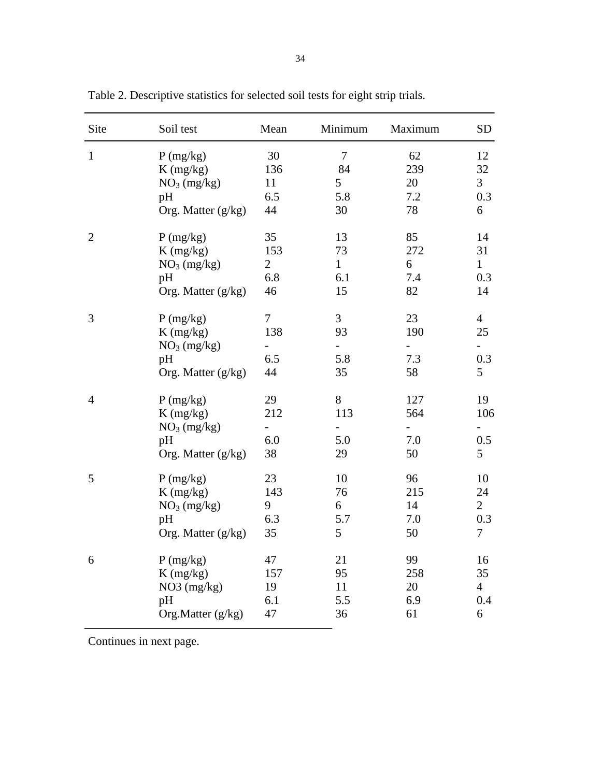| Site           | Soil test                                                                        | Mean                        | Minimum                                               | Maximum                 | <b>SD</b>                        |
|----------------|----------------------------------------------------------------------------------|-----------------------------|-------------------------------------------------------|-------------------------|----------------------------------|
| $\mathbf{1}$   | P(mg/kg)                                                                         | 30                          | $\boldsymbol{7}$                                      | 62                      | 12                               |
|                | $K$ (mg/kg)                                                                      | 136                         | 84                                                    | 239                     | 32                               |
|                | NO <sub>3</sub> (mg/kg)                                                          | 11                          | 5                                                     | 20                      | $\overline{3}$                   |
|                | pH                                                                               | 6.5                         | 5.8                                                   | 7.2                     | 0.3                              |
|                | Org. Matter (g/kg)                                                               | 44                          | 30                                                    | 78                      | 6                                |
| $\overline{2}$ | P(mg/kg)                                                                         | 35                          | 13                                                    | 85                      | 14                               |
|                | $K$ (mg/kg)                                                                      | 153                         | 73                                                    | 272                     | 31                               |
|                | NO <sub>3</sub> (mg/kg)                                                          | $\overline{2}$              | $\mathbf{1}$                                          | 6                       | $\mathbf{1}$                     |
|                | pH                                                                               | 6.8                         | 6.1                                                   | 7.4                     | 0.3                              |
|                | Org. Matter $(g/kg)$                                                             | 46                          | 15                                                    | 82                      | 14                               |
| 3              | P(mg/kg)<br>$K$ (mg/kg)<br>NO <sub>3</sub> (mg/kg)<br>pH<br>Org. Matter $(g/kg)$ | 7<br>138<br>6.5<br>44       | 3<br>93<br>5.8<br>35                                  | 23<br>190<br>7.3<br>58  | $\overline{4}$<br>25<br>0.3<br>5 |
| $\overline{4}$ | P(mg/kg)<br>$K$ (mg/kg)<br>NO <sub>3</sub> (mg/kg)<br>pH<br>Org. Matter (g/kg)   | 29<br>212<br>-<br>6.0<br>38 | $8\,$<br>113<br>$\overline{\phantom{0}}$<br>5.0<br>29 | 127<br>564<br>7.0<br>50 | 19<br>106<br>0.5<br>5            |
| 5              | P(mg/kg)                                                                         | 23                          | 10                                                    | 96                      | 10                               |
|                | $K$ (mg/kg)                                                                      | 143                         | 76                                                    | 215                     | 24                               |
|                | NO <sub>3</sub> (mg/kg)                                                          | 9                           | 6                                                     | 14                      | $\overline{2}$                   |
|                | pH                                                                               | 6.3                         | 5.7                                                   | 7.0                     | 0.3                              |
|                | Org. Matter (g/kg)                                                               | 35                          | 5                                                     | 50                      | $\tau$                           |
| 6              | P(mg/kg)                                                                         | 47                          | 21                                                    | 99                      | 16                               |
|                | $K$ (mg/kg)                                                                      | 157                         | 95                                                    | 258                     | 35                               |
|                | $NO3$ (mg/kg)                                                                    | 19                          | 11                                                    | 20                      | $\overline{4}$                   |
|                | pH                                                                               | 6.1                         | 5.5                                                   | 6.9                     | 0.4                              |
|                | Org.Matter (g/kg)                                                                | 47                          | 36                                                    | 61                      | 6                                |

Table 2. Descriptive statistics for selected soil tests for eight strip trials.

Continues in next page.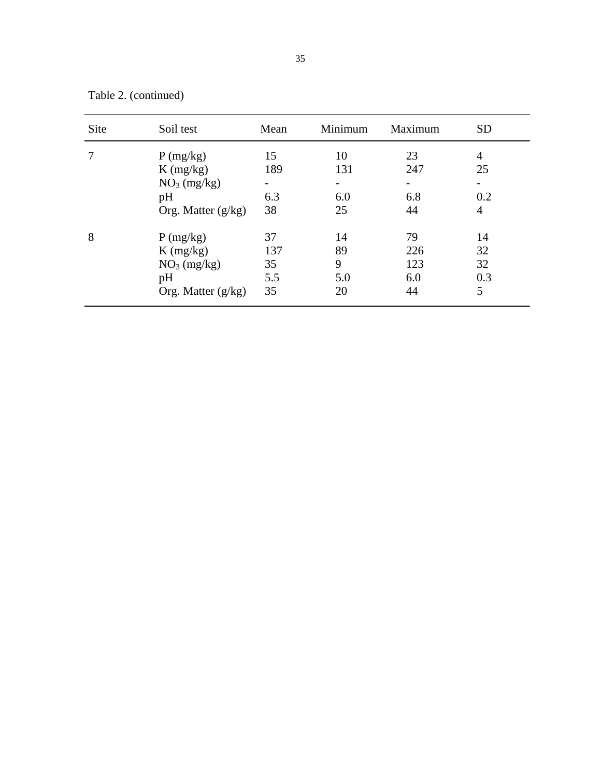Table 2. (continued)

| Site | Soil test                                                                        | Mean                                               | Minimum                     | Maximum                       | <b>SD</b>                  |
|------|----------------------------------------------------------------------------------|----------------------------------------------------|-----------------------------|-------------------------------|----------------------------|
|      | P(mg/kg)<br>$K$ (mg/kg)<br>NO <sub>3</sub> (mg/kg)<br>pH<br>Org. Matter $(g/kg)$ | 15<br>189<br>$\overline{\phantom{a}}$<br>6.3<br>38 | 10<br>131<br>-<br>6.0<br>25 | 23<br>247<br>-<br>6.8<br>44   | 4<br>25<br>0.2<br>4        |
| 8    | P(mg/kg)<br>$K$ (mg/kg)<br>NO <sub>3</sub> (mg/kg)<br>pH<br>Org. Matter $(g/kg)$ | 37<br>137<br>35<br>5.5<br>35                       | 14<br>89<br>9<br>5.0<br>20  | 79<br>226<br>123<br>6.0<br>44 | 14<br>32<br>32<br>0.3<br>5 |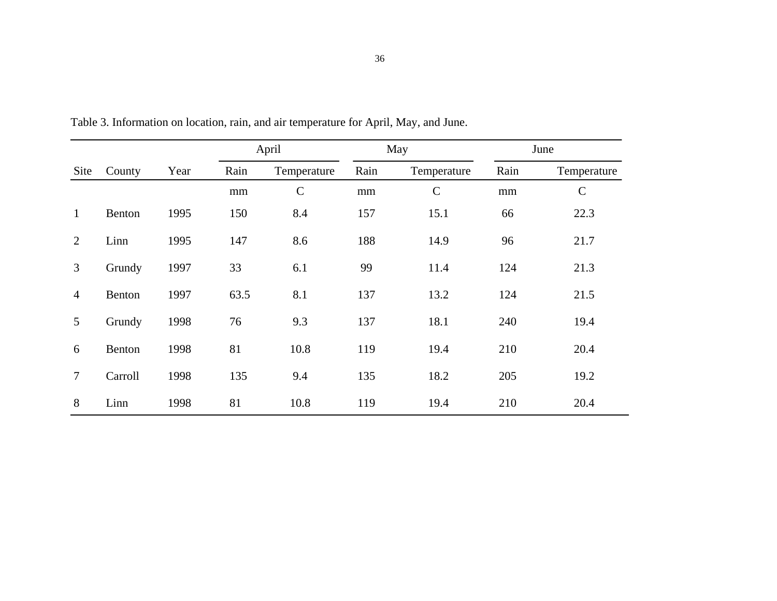|                |         |      |                     | April         |      | May           | June |               |  |
|----------------|---------|------|---------------------|---------------|------|---------------|------|---------------|--|
| Site           | County  | Year | Rain<br>Temperature |               | Rain | Temperature   | Rain | Temperature   |  |
|                |         |      | mm                  | $\mathcal{C}$ | mm   | $\mathcal{C}$ | mm   | $\mathcal{C}$ |  |
| $\mathbf{1}$   | Benton  | 1995 | 150                 | 8.4           | 157  | 15.1          | 66   | 22.3          |  |
| 2              | Linn    | 1995 | 147                 | 8.6           | 188  | 14.9          | 96   | 21.7          |  |
| 3              | Grundy  | 1997 | 33                  | 6.1           | 99   | 11.4          | 124  | 21.3          |  |
| $\overline{4}$ | Benton  | 1997 | 63.5                | 8.1           | 137  | 13.2          | 124  | 21.5          |  |
| 5              | Grundy  | 1998 | 76                  | 9.3           | 137  | 18.1          | 240  | 19.4          |  |
| 6              | Benton  | 1998 | 81                  | 10.8          | 119  | 19.4          | 210  | 20.4          |  |
| $\overline{7}$ | Carroll | 1998 | 135                 | 9.4           | 135  | 18.2          | 205  | 19.2          |  |
| 8              | Linn    | 1998 | 81                  | 10.8          | 119  | 19.4          | 210  | 20.4          |  |

Table 3. Information on location, rain, and air temperature for April, May, and June.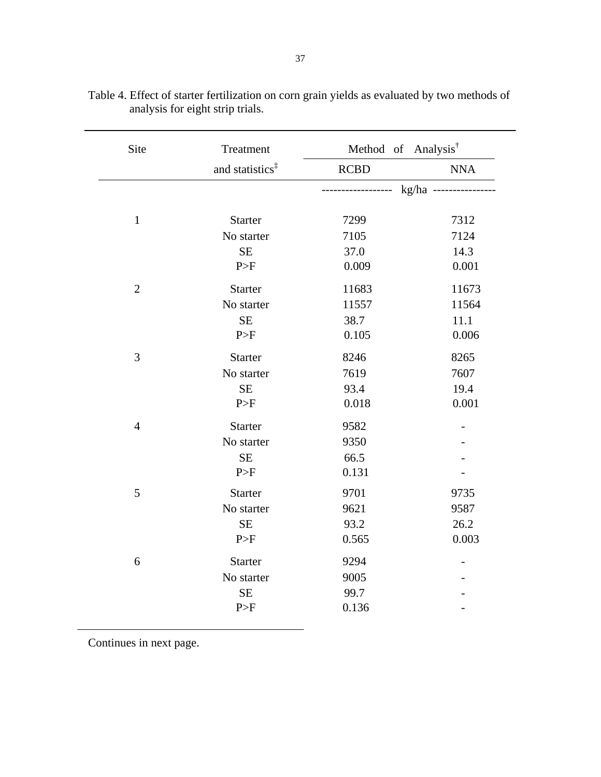| Site           | Treatment                   | Method of Analysis <sup>†</sup> |                    |
|----------------|-----------------------------|---------------------------------|--------------------|
|                | and statistics <sup>‡</sup> | <b>RCBD</b>                     | <b>NNA</b>         |
|                |                             | -------                         | kg/ha ------------ |
| $\mathbf{1}$   | Starter                     | 7299                            | 7312               |
|                | No starter                  | 7105                            | 7124               |
|                | $\rm SE$                    | 37.0                            | 14.3               |
|                | P>F                         | 0.009                           | 0.001              |
| $\mathbf{2}$   | <b>Starter</b>              | 11683                           | 11673              |
|                | No starter                  | 11557                           | 11564              |
|                | $\rm SE$                    | 38.7                            | 11.1               |
|                | P>F                         | 0.105                           | 0.006              |
| $\mathfrak{Z}$ | <b>Starter</b>              | 8246                            | 8265               |
|                | No starter                  | 7619                            | 7607               |
|                | $\rm SE$                    | 93.4                            | 19.4               |
|                | P>F                         | 0.018                           | 0.001              |
| $\overline{4}$ | Starter                     | 9582                            |                    |
|                | No starter                  | 9350                            |                    |
|                | $\rm SE$                    | 66.5                            |                    |
|                | P>F                         | 0.131                           |                    |
| 5              | <b>Starter</b>              | 9701                            | 9735               |
|                | No starter                  | 9621                            | 9587               |
|                | $\rm SE$                    | 93.2                            | 26.2               |
|                | P>F                         | 0.565                           | 0.003              |
| 6              | <b>Starter</b>              | 9294                            |                    |
|                | No starter                  | 9005                            |                    |
|                | $\rm SE$                    | 99.7                            |                    |
|                | P>F                         | 0.136                           |                    |

| Table 4. Effect of starter fertilization on corn grain yields as evaluated by two methods of |  |  |
|----------------------------------------------------------------------------------------------|--|--|
| analysis for eight strip trials.                                                             |  |  |

Continues in next page.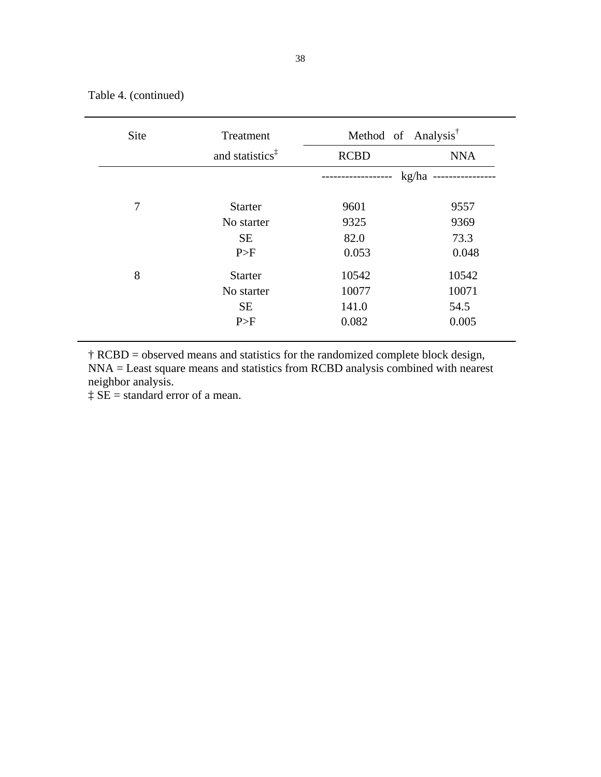Table 4. (continued)

| <b>Site</b> | Treatment                   | Method of Analysis <sup>†</sup> |            |  |  |  |  |
|-------------|-----------------------------|---------------------------------|------------|--|--|--|--|
|             | and statistics <sup>‡</sup> | <b>RCBD</b>                     | <b>NNA</b> |  |  |  |  |
|             |                             |                                 | kg/ha      |  |  |  |  |
| 7           | <b>Starter</b>              | 9601                            | 9557       |  |  |  |  |
|             | No starter                  | 9325                            | 9369       |  |  |  |  |
|             | <b>SE</b>                   | 82.0                            | 73.3       |  |  |  |  |
|             | P>F                         | 0.053                           | 0.048      |  |  |  |  |
| 8           | <b>Starter</b>              | 10542                           | 10542      |  |  |  |  |
|             | No starter                  | 10077                           | 10071      |  |  |  |  |
|             | <b>SE</b>                   | 141.0                           | 54.5       |  |  |  |  |
|             | P>F                         | 0.082                           | 0.005      |  |  |  |  |

† RCBD = observed means and statistics for the randomized complete block design, NNA = Least square means and statistics from RCBD analysis combined with nearest neighbor analysis.

 $\ddagger$  SE = standard error of a mean.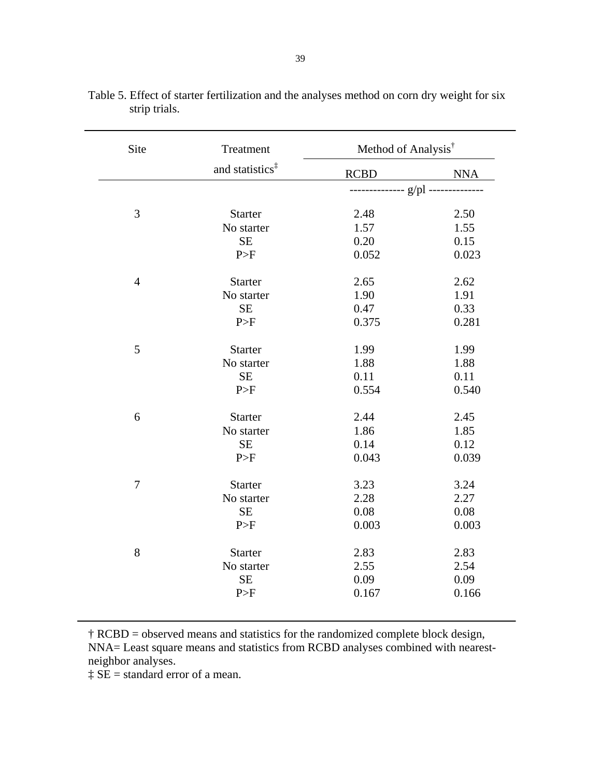| Site           | Treatment                   | Method of Analysis <sup>†</sup> |            |  |  |
|----------------|-----------------------------|---------------------------------|------------|--|--|
|                | and statistics <sup>‡</sup> | <b>RCBD</b>                     | <b>NNA</b> |  |  |
|                |                             |                                 |            |  |  |
| 3              | <b>Starter</b>              | 2.48                            | 2.50       |  |  |
|                | No starter                  | 1.57                            | 1.55       |  |  |
|                | <b>SE</b>                   | 0.20                            | 0.15       |  |  |
|                | P>F                         | 0.052                           | 0.023      |  |  |
| $\overline{4}$ | <b>Starter</b>              | 2.65                            | 2.62       |  |  |
|                | No starter                  | 1.90                            | 1.91       |  |  |
|                | <b>SE</b>                   | 0.47                            | 0.33       |  |  |
|                | P>F                         | 0.375                           | 0.281      |  |  |
| 5              | <b>Starter</b>              | 1.99                            | 1.99       |  |  |
|                | No starter                  | 1.88                            | 1.88       |  |  |
|                | <b>SE</b>                   | 0.11                            | 0.11       |  |  |
|                | P>F                         | 0.554                           | 0.540      |  |  |
| 6              | <b>Starter</b>              | 2.44                            | 2.45       |  |  |
|                | No starter                  | 1.86                            | 1.85       |  |  |
|                | <b>SE</b>                   | 0.14                            | 0.12       |  |  |
|                | P>F                         | 0.043                           | 0.039      |  |  |
| $\overline{7}$ | <b>Starter</b>              | 3.23                            | 3.24       |  |  |
|                | No starter                  | 2.28                            | 2.27       |  |  |
|                | $\rm SE$                    | 0.08                            | 0.08       |  |  |
|                | P>F                         | 0.003                           | 0.003      |  |  |
| 8              | <b>Starter</b>              | 2.83                            | 2.83       |  |  |
|                | No starter                  | 2.55                            | 2.54       |  |  |
|                | <b>SE</b>                   | 0.09                            | 0.09       |  |  |
|                | P>F                         | 0.167                           | 0.166      |  |  |

|               |  | Table 5. Effect of starter fertilization and the analyses method on corn dry weight for six |
|---------------|--|---------------------------------------------------------------------------------------------|
| strip trials. |  |                                                                                             |

† RCBD = observed means and statistics for the randomized complete block design, NNA= Least square means and statistics from RCBD analyses combined with nearestneighbor analyses.

 $\ddagger$  SE = standard error of a mean.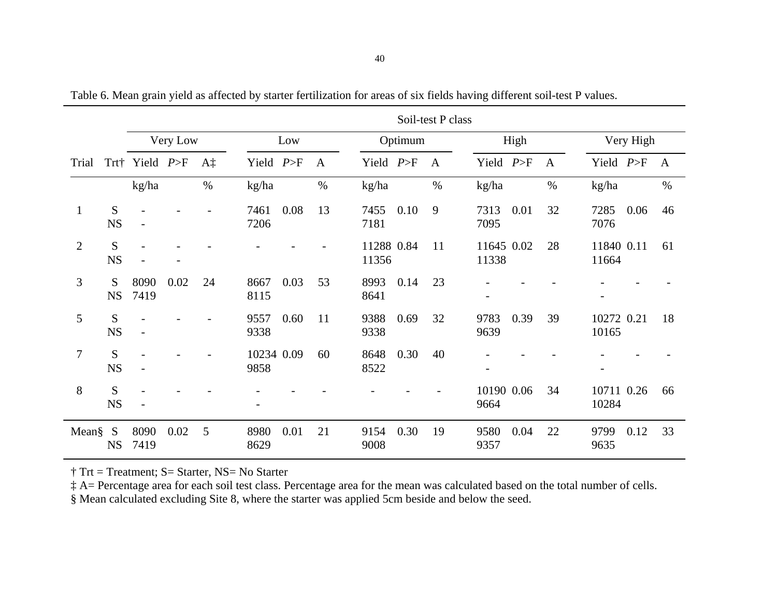|                |                | Soil-test P class |          |      |                    |      |              |                     |         |              |                          |      |              |                          |      |      |
|----------------|----------------|-------------------|----------|------|--------------------|------|--------------|---------------------|---------|--------------|--------------------------|------|--------------|--------------------------|------|------|
|                |                |                   | Very Low |      |                    | Low  |              |                     | Optimum |              | High                     |      |              | Very High                |      |      |
| Trial          |                | Trt† Yield $P>F$  |          | Α‡   | Yield $P>F$        |      | $\mathbf{A}$ | Yield $P>F$         |         | $\mathbf{A}$ | Yield $P>F$              |      | $\mathbf{A}$ | Yield $P>F$              |      | A    |
|                |                | kg/ha             |          | $\%$ | kg/ha              |      | $\%$         | kg/ha               |         | $\%$         | kg/ha                    |      | $\%$         | kg/ha                    |      | $\%$ |
| $\mathbf{1}$   | S<br><b>NS</b> |                   |          |      | 7461<br>7206       | 0.08 | 13           | 7455<br>7181        | 0.10    | 9            | 7313<br>7095             | 0.01 | 32           | 7285<br>7076             | 0.06 | 46   |
| $\overline{2}$ | S<br><b>NS</b> |                   |          |      |                    |      |              | 11288 0.84<br>11356 |         | 11           | 11645 0.02<br>11338      |      | 28           | 11840 0.11<br>11664      |      | 61   |
| 3              | S<br><b>NS</b> | 8090<br>7419      | 0.02     | 24   | 8667<br>8115       | 0.03 | 53           | 8993<br>8641        | 0.14    | 23           | $\overline{\phantom{0}}$ |      |              | $\overline{\phantom{a}}$ |      |      |
| 5              | S<br><b>NS</b> |                   |          |      | 9557<br>9338       | 0.60 | 11           | 9388<br>9338        | 0.69    | 32           | 9783<br>9639             | 0.39 | 39           | 10272 0.21<br>10165      |      | 18   |
| 7              | S<br><b>NS</b> |                   |          |      | 10234 0.09<br>9858 |      | 60           | 8648<br>8522        | 0.30    | 40           | $\overline{a}$           |      |              |                          |      |      |
| 8              | S<br><b>NS</b> |                   |          |      |                    |      |              |                     |         |              | 10190 0.06<br>9664       |      | 34           | 10711 0.26<br>10284      |      | 66   |
| Mean§          | S<br><b>NS</b> | 8090<br>7419      | 0.02     | 5    | 8980<br>8629       | 0.01 | 21           | 9154<br>9008        | 0.30    | 19           | 9580<br>9357             | 0.04 | 22           | 9799<br>9635             | 0.12 | 33   |

Table 6. Mean grain yield as affected by starter fertilization for areas of six fields having different soil-test P values.

† Trt = Treatment; S= Starter, NS= No Starter

‡ A= Percentage area for each soil test class. Percentage area for the mean was calculated based on the total number of cells.

§ Mean calculated excluding Site 8, where the starter was applied 5cm beside and below the seed.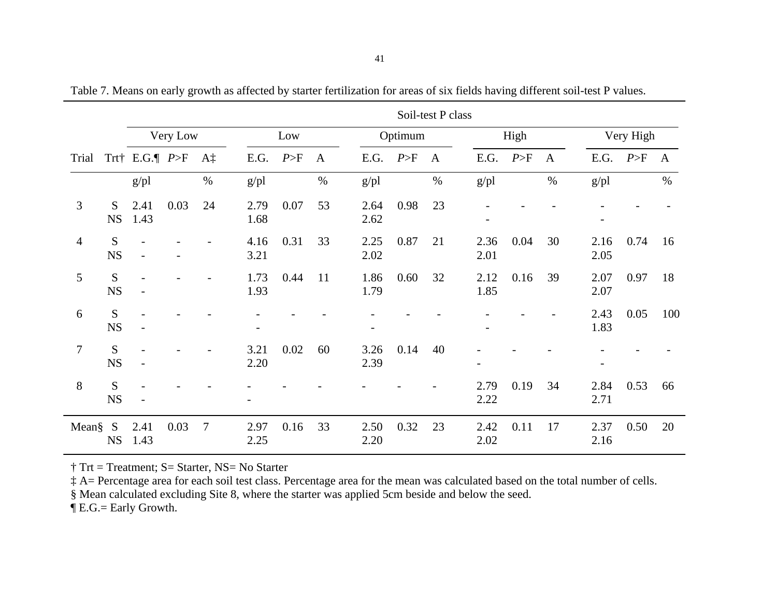|                |                | Soil-test P class |          |                |                          |      |              |                          |         |              |                          |      |                  |              |      |              |
|----------------|----------------|-------------------|----------|----------------|--------------------------|------|--------------|--------------------------|---------|--------------|--------------------------|------|------------------|--------------|------|--------------|
|                |                |                   | Very Low |                |                          | Low  |              |                          | Optimum |              | High                     |      |                  | Very High    |      |              |
| Trial          |                | Trt E.G. $P>F$    |          | Aţ             | E.G.                     | P>F  | $\mathbf{A}$ | E.G.                     | P>F     | $\mathbf{A}$ | E.G.                     | P>F  | $\boldsymbol{A}$ | E.G.         | P>F  | $\mathbf{A}$ |
|                |                | $g$ /pl           |          | $\%$           | $g$ /pl                  |      | $\%$         | $g$ /pl                  |         | $\%$         | $g$ /pl                  |      | $\%$             | $g$ /pl      |      | $\%$         |
| 3              | S<br><b>NS</b> | 2.41<br>1.43      | 0.03     | 24             | 2.79<br>1.68             | 0.07 | 53           | 2.64<br>2.62             | 0.98    | 23           |                          |      |                  |              |      |              |
| $\overline{4}$ | S<br><b>NS</b> | $\overline{a}$    |          |                | 4.16<br>3.21             | 0.31 | 33           | 2.25<br>2.02             | 0.87    | 21           | 2.36<br>2.01             | 0.04 | 30               | 2.16<br>2.05 | 0.74 | 16           |
| 5              | S<br><b>NS</b> |                   |          |                | 1.73<br>1.93             | 0.44 | 11           | 1.86<br>1.79             | 0.60    | 32           | 2.12<br>1.85             | 0.16 | 39               | 2.07<br>2.07 | 0.97 | 18           |
| 6              | S<br><b>NS</b> |                   |          |                | $\overline{\phantom{a}}$ |      |              | $\overline{\phantom{0}}$ |         |              | -                        |      |                  | 2.43<br>1.83 | 0.05 | 100          |
| $\overline{7}$ | S<br><b>NS</b> |                   |          |                | 3.21<br>2.20             | 0.02 | 60           | 3.26<br>2.39             | 0.14    | 40           | $\overline{\phantom{0}}$ |      |                  |              |      |              |
| 8              | S<br><b>NS</b> |                   |          |                |                          |      |              |                          |         |              | 2.79<br>2.22             | 0.19 | 34               | 2.84<br>2.71 | 0.53 | 66           |
| Mean§          | S<br><b>NS</b> | 2.41<br>1.43      | 0.03     | $\overline{7}$ | 2.97<br>2.25             | 0.16 | 33           | 2.50<br>2.20             | 0.32    | 23           | 2.42<br>2.02             | 0.11 | 17               | 2.37<br>2.16 | 0.50 | 20           |

Table 7. Means on early growth as affected by starter fertilization for areas of six fields having different soil-test P values.

† Trt = Treatment; S= Starter, NS= No Starter

‡ A= Percentage area for each soil test class. Percentage area for the mean was calculated based on the total number of cells.

§ Mean calculated excluding Site 8, where the starter was applied 5cm beside and below the seed.

¶ E.G.= Early Growth.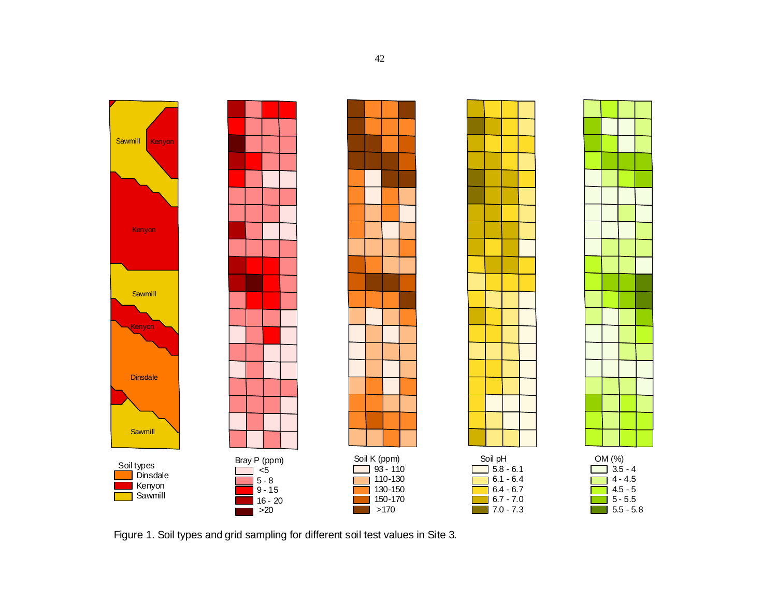

Figure 1. Soil types and grid sampling for different soil test values in Site 3.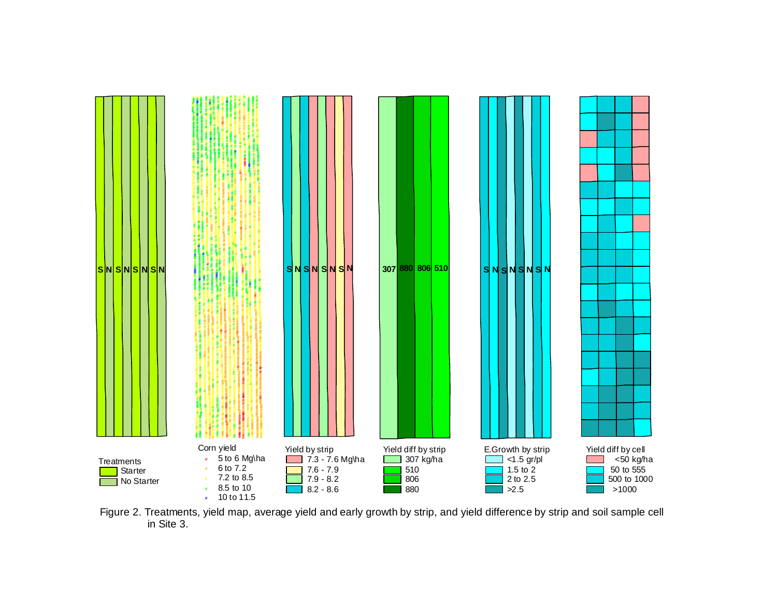

Figure 2. Treatments, yield map, average yield and early growth by strip, and yield difference by strip and soil sample cell in Site 3.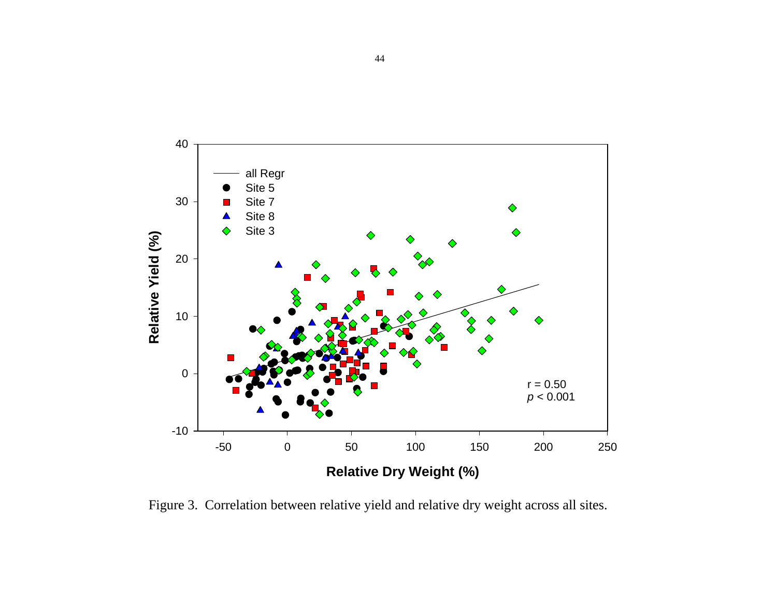

Figure 3. Correlation between relative yield and relative dry weight across all sites.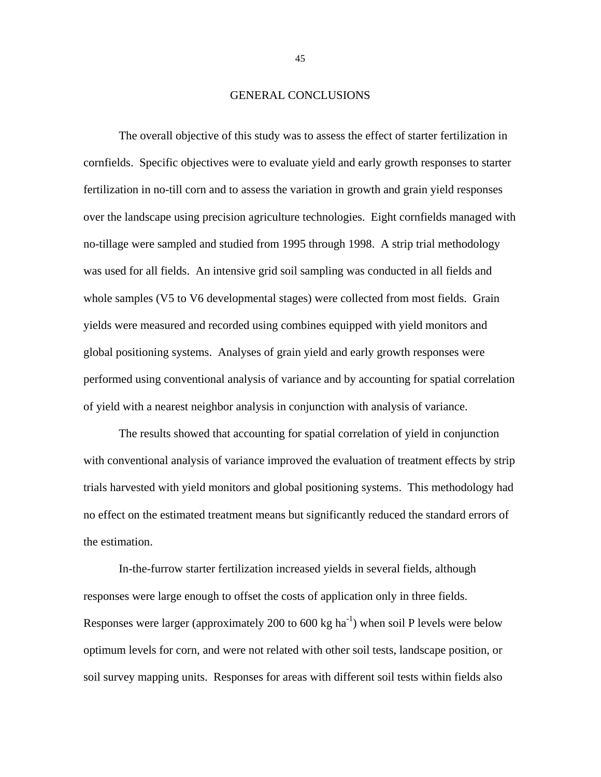#### GENERAL CONCLUSIONS

The overall objective of this study was to assess the effect of starter fertilization in cornfields. Specific objectives were to evaluate yield and early growth responses to starter fertilization in no-till corn and to assess the variation in growth and grain yield responses over the landscape using precision agriculture technologies. Eight cornfields managed with no-tillage were sampled and studied from 1995 through 1998. A strip trial methodology was used for all fields. An intensive grid soil sampling was conducted in all fields and whole samples (V5 to V6 developmental stages) were collected from most fields. Grain yields were measured and recorded using combines equipped with yield monitors and global positioning systems. Analyses of grain yield and early growth responses were performed using conventional analysis of variance and by accounting for spatial correlation of yield with a nearest neighbor analysis in conjunction with analysis of variance.

The results showed that accounting for spatial correlation of yield in conjunction with conventional analysis of variance improved the evaluation of treatment effects by strip trials harvested with yield monitors and global positioning systems. This methodology had no effect on the estimated treatment means but significantly reduced the standard errors of the estimation.

In-the-furrow starter fertilization increased yields in several fields, although responses were large enough to offset the costs of application only in three fields. Responses were larger (approximately 200 to 600 kg ha<sup>-1</sup>) when soil P levels were below optimum levels for corn, and were not related with other soil tests, landscape position, or soil survey mapping units. Responses for areas with different soil tests within fields also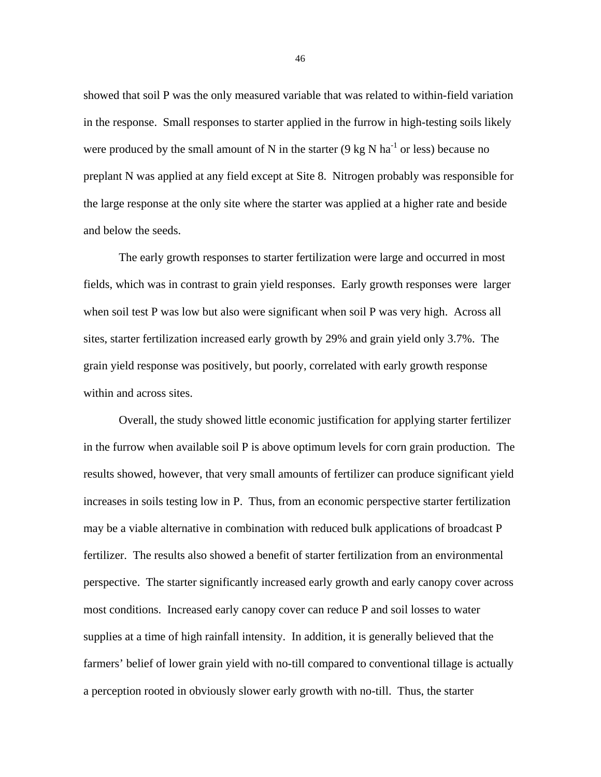showed that soil P was the only measured variable that was related to within-field variation in the response. Small responses to starter applied in the furrow in high-testing soils likely were produced by the small amount of N in the starter  $(9 \text{ kg N} \text{ ha}^{-1} \text{ or } \text{less})$  because no preplant N was applied at any field except at Site 8. Nitrogen probably was responsible for the large response at the only site where the starter was applied at a higher rate and beside and below the seeds.

The early growth responses to starter fertilization were large and occurred in most fields, which was in contrast to grain yield responses. Early growth responses were larger when soil test P was low but also were significant when soil P was very high. Across all sites, starter fertilization increased early growth by 29% and grain yield only 3.7%. The grain yield response was positively, but poorly, correlated with early growth response within and across sites.

Overall, the study showed little economic justification for applying starter fertilizer in the furrow when available soil P is above optimum levels for corn grain production. The results showed, however, that very small amounts of fertilizer can produce significant yield increases in soils testing low in P. Thus, from an economic perspective starter fertilization may be a viable alternative in combination with reduced bulk applications of broadcast P fertilizer. The results also showed a benefit of starter fertilization from an environmental perspective. The starter significantly increased early growth and early canopy cover across most conditions. Increased early canopy cover can reduce P and soil losses to water supplies at a time of high rainfall intensity. In addition, it is generally believed that the farmers' belief of lower grain yield with no-till compared to conventional tillage is actually a perception rooted in obviously slower early growth with no-till. Thus, the starter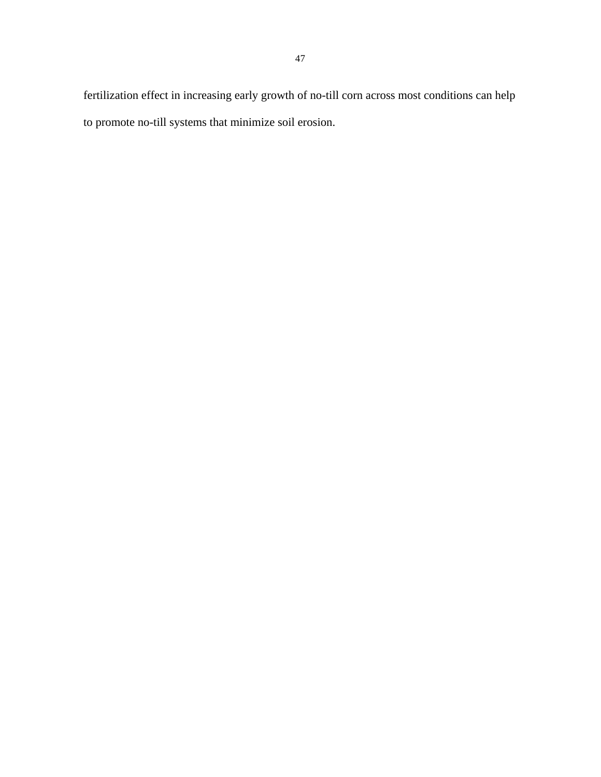fertilization effect in increasing early growth of no-till corn across most conditions can help to promote no-till systems that minimize soil erosion.